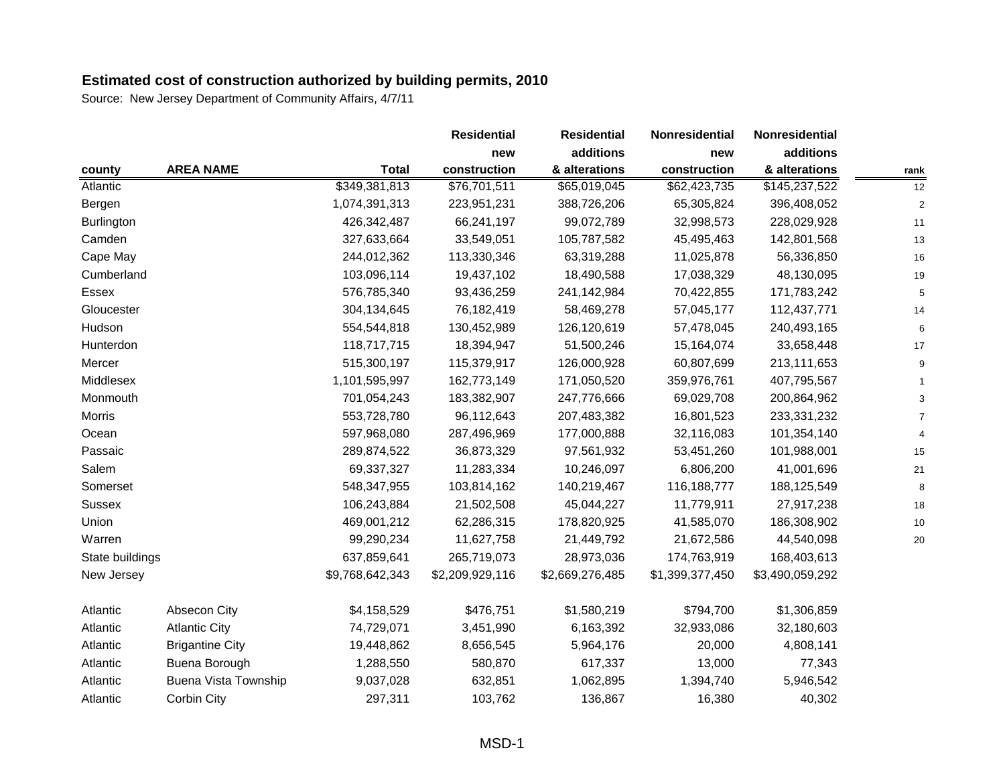|                   |                             |                 | <b>Residential</b> | <b>Residential</b> | Nonresidential  | Nonresidential  |      |
|-------------------|-----------------------------|-----------------|--------------------|--------------------|-----------------|-----------------|------|
|                   |                             |                 | new                | additions          | new             | additions       |      |
| county            | <b>AREA NAME</b>            | <b>Total</b>    | construction       | & alterations      | construction    | & alterations   | rank |
| Atlantic          |                             | \$349,381,813   | \$76,701,511       | \$65,019,045       | \$62,423,735    | \$145,237,522   | 12   |
| Bergen            |                             | 1,074,391,313   | 223,951,231        | 388,726,206        | 65,305,824      | 396,408,052     |      |
| <b>Burlington</b> |                             | 426,342,487     | 66,241,197         | 99,072,789         | 32,998,573      | 228,029,928     | 11   |
| Camden            |                             | 327,633,664     | 33,549,051         | 105,787,582        | 45,495,463      | 142,801,568     | 13   |
| Cape May          |                             | 244,012,362     | 113,330,346        | 63,319,288         | 11,025,878      | 56,336,850      | 16   |
| Cumberland        |                             | 103,096,114     | 19,437,102         | 18,490,588         | 17,038,329      | 48,130,095      | 19   |
| Essex             |                             | 576,785,340     | 93,436,259         | 241,142,984        | 70,422,855      | 171,783,242     | 5    |
| Gloucester        |                             | 304,134,645     | 76,182,419         | 58,469,278         | 57,045,177      | 112,437,771     | 14   |
| Hudson            |                             | 554,544,818     | 130,452,989        | 126,120,619        | 57,478,045      | 240,493,165     |      |
| Hunterdon         |                             | 118,717,715     | 18,394,947         | 51,500,246         | 15,164,074      | 33,658,448      | 17   |
| Mercer            |                             | 515,300,197     | 115,379,917        | 126,000,928        | 60,807,699      | 213,111,653     |      |
| Middlesex         |                             | 1,101,595,997   | 162,773,149        | 171,050,520        | 359,976,761     | 407,795,567     |      |
| Monmouth          |                             | 701,054,243     | 183,382,907        | 247,776,666        | 69,029,708      | 200,864,962     |      |
| <b>Morris</b>     |                             | 553,728,780     | 96,112,643         | 207,483,382        | 16,801,523      | 233,331,232     |      |
| Ocean             |                             | 597,968,080     | 287,496,969        | 177,000,888        | 32,116,083      | 101,354,140     |      |
| Passaic           |                             | 289,874,522     | 36,873,329         | 97,561,932         | 53,451,260      | 101,988,001     | 15   |
| Salem             |                             | 69,337,327      | 11,283,334         | 10,246,097         | 6,806,200       | 41,001,696      | 21   |
| Somerset          |                             | 548,347,955     | 103,814,162        | 140,219,467        | 116,188,777     | 188,125,549     | 8    |
| <b>Sussex</b>     |                             | 106,243,884     | 21,502,508         | 45,044,227         | 11,779,911      | 27,917,238      | 18   |
| Union             |                             | 469,001,212     | 62,286,315         | 178,820,925        | 41,585,070      | 186,308,902     | 10   |
| Warren            |                             | 99,290,234      | 11,627,758         | 21,449,792         | 21,672,586      | 44,540,098      | 20   |
| State buildings   |                             | 637,859,641     | 265,719,073        | 28,973,036         | 174,763,919     | 168,403,613     |      |
| New Jersey        |                             | \$9,768,642,343 | \$2,209,929,116    | \$2,669,276,485    | \$1,399,377,450 | \$3,490,059,292 |      |
| Atlantic          | Absecon City                | \$4,158,529     | \$476,751          | \$1,580,219        | \$794,700       | \$1,306,859     |      |
| Atlantic          | <b>Atlantic City</b>        | 74,729,071      | 3,451,990          | 6,163,392          | 32,933,086      | 32,180,603      |      |
| Atlantic          | <b>Brigantine City</b>      | 19,448,862      | 8,656,545          | 5,964,176          | 20,000          | 4,808,141       |      |
| Atlantic          | Buena Borough               | 1,288,550       | 580,870            | 617,337            | 13,000          | 77,343          |      |
| Atlantic          | <b>Buena Vista Township</b> | 9,037,028       | 632,851            | 1,062,895          | 1,394,740       | 5,946,542       |      |
| Atlantic          | Corbin City                 | 297,311         | 103,762            | 136,867            | 16,380          | 40,302          |      |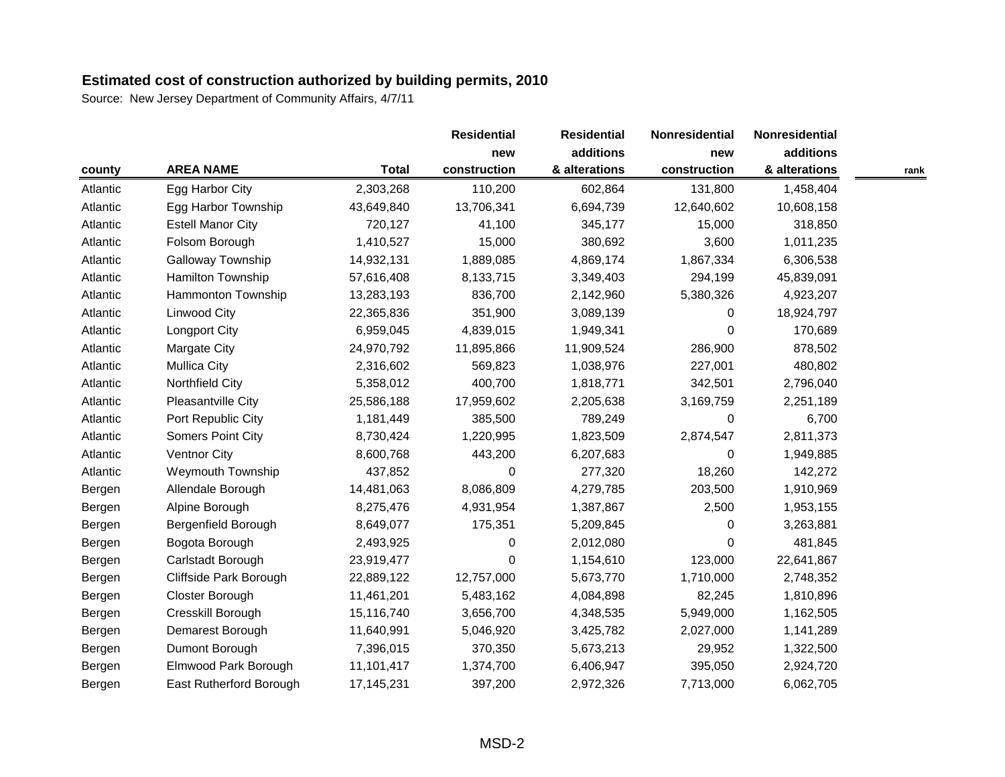|          |                          |              | <b>Residential</b> | <b>Residential</b> | Nonresidential<br>new | Nonresidential |      |
|----------|--------------------------|--------------|--------------------|--------------------|-----------------------|----------------|------|
|          |                          |              | new                | additions          |                       | additions      |      |
| county   | <b>AREA NAME</b>         | <b>Total</b> | construction       | & alterations      | construction          | & alterations  | rank |
| Atlantic | Egg Harbor City          | 2,303,268    | 110,200            | 602,864            | 131,800               | 1,458,404      |      |
| Atlantic | Egg Harbor Township      | 43,649,840   | 13,706,341         | 6,694,739          | 12,640,602            | 10,608,158     |      |
| Atlantic | <b>Estell Manor City</b> | 720,127      | 41,100             | 345,177            | 15,000                | 318,850        |      |
| Atlantic | Folsom Borough           | 1,410,527    | 15,000             | 380,692            | 3,600                 | 1,011,235      |      |
| Atlantic | Galloway Township        | 14,932,131   | 1,889,085          | 4,869,174          | 1,867,334             | 6,306,538      |      |
| Atlantic | Hamilton Township        | 57,616,408   | 8,133,715          | 3,349,403          | 294,199               | 45,839,091     |      |
| Atlantic | Hammonton Township       | 13,283,193   | 836,700            | 2,142,960          | 5,380,326             | 4,923,207      |      |
| Atlantic | <b>Linwood City</b>      | 22,365,836   | 351,900            | 3,089,139          | $\Omega$              | 18,924,797     |      |
| Atlantic | Longport City            | 6,959,045    | 4,839,015          | 1,949,341          | $\Omega$              | 170,689        |      |
| Atlantic | Margate City             | 24,970,792   | 11,895,866         | 11,909,524         | 286,900               | 878,502        |      |
| Atlantic | <b>Mullica City</b>      | 2,316,602    | 569,823            | 1,038,976          | 227,001               | 480,802        |      |
| Atlantic | Northfield City          | 5,358,012    | 400,700            | 1,818,771          | 342,501               | 2,796,040      |      |
| Atlantic | Pleasantville City       | 25,586,188   | 17,959,602         | 2,205,638          | 3,169,759             | 2,251,189      |      |
| Atlantic | Port Republic City       | 1,181,449    | 385,500            | 789,249            | $\Omega$              | 6,700          |      |
| Atlantic | Somers Point City        | 8,730,424    | 1,220,995          | 1,823,509          | 2,874,547             | 2,811,373      |      |
| Atlantic | <b>Ventnor City</b>      | 8,600,768    | 443,200            | 6,207,683          | $\Omega$              | 1,949,885      |      |
| Atlantic | <b>Weymouth Township</b> | 437,852      | 0                  | 277,320            | 18,260                | 142,272        |      |
| Bergen   | Allendale Borough        | 14,481,063   | 8,086,809          | 4,279,785          | 203,500               | 1,910,969      |      |
| Bergen   | Alpine Borough           | 8,275,476    | 4,931,954          | 1,387,867          | 2,500                 | 1,953,155      |      |
| Bergen   | Bergenfield Borough      | 8,649,077    | 175,351            | 5,209,845          | $\Omega$              | 3,263,881      |      |
| Bergen   | Bogota Borough           | 2,493,925    | 0                  | 2,012,080          | $\Omega$              | 481,845        |      |
| Bergen   | Carlstadt Borough        | 23,919,477   | 0                  | 1,154,610          | 123,000               | 22,641,867     |      |
| Bergen   | Cliffside Park Borough   | 22,889,122   | 12,757,000         | 5,673,770          | 1,710,000             | 2,748,352      |      |
| Bergen   | Closter Borough          | 11,461,201   | 5,483,162          | 4,084,898          | 82,245                | 1,810,896      |      |
| Bergen   | Cresskill Borough        | 15,116,740   | 3,656,700          | 4,348,535          | 5,949,000             | 1,162,505      |      |
| Bergen   | Demarest Borough         | 11,640,991   | 5,046,920          | 3,425,782          | 2,027,000             | 1,141,289      |      |
| Bergen   | Dumont Borough           | 7,396,015    | 370,350            | 5,673,213          | 29,952                | 1,322,500      |      |
| Bergen   | Elmwood Park Borough     | 11,101,417   | 1,374,700          | 6,406,947          | 395,050               | 2,924,720      |      |
| Bergen   | East Rutherford Borough  | 17,145,231   | 397,200            | 2,972,326          | 7,713,000             | 6,062,705      |      |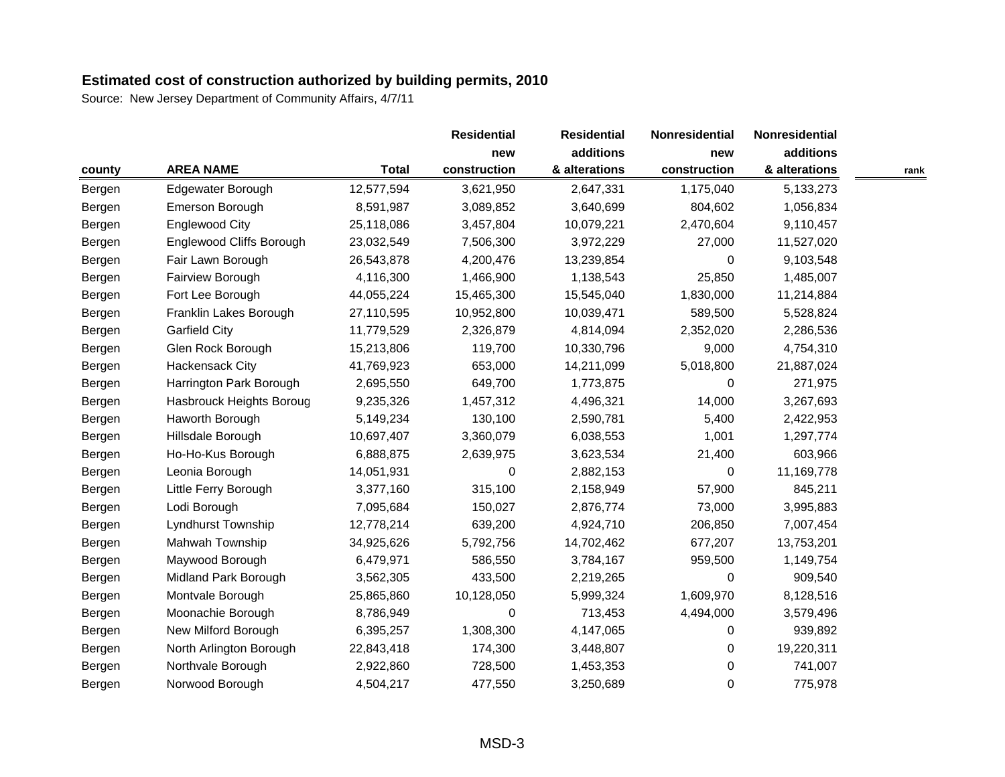|        |                                 |              | <b>Residential</b><br>new | <b>Residential</b><br>additions | Nonresidential<br>new | Nonresidential |      |
|--------|---------------------------------|--------------|---------------------------|---------------------------------|-----------------------|----------------|------|
|        |                                 |              |                           |                                 |                       | additions      |      |
| county | <b>AREA NAME</b>                | <b>Total</b> | construction              | & alterations                   | construction          | & alterations  | rank |
| Bergen | Edgewater Borough               | 12,577,594   | 3,621,950                 | 2,647,331                       | 1,175,040             | 5,133,273      |      |
| Bergen | Emerson Borough                 | 8,591,987    | 3,089,852                 | 3,640,699                       | 804,602               | 1,056,834      |      |
| Bergen | <b>Englewood City</b>           | 25,118,086   | 3,457,804                 | 10,079,221                      | 2,470,604             | 9,110,457      |      |
| Bergen | <b>Englewood Cliffs Borough</b> | 23,032,549   | 7,506,300                 | 3,972,229                       | 27,000                | 11,527,020     |      |
| Bergen | Fair Lawn Borough               | 26,543,878   | 4,200,476                 | 13,239,854                      | 0                     | 9,103,548      |      |
| Bergen | Fairview Borough                | 4,116,300    | 1,466,900                 | 1,138,543                       | 25,850                | 1,485,007      |      |
| Bergen | Fort Lee Borough                | 44,055,224   | 15,465,300                | 15,545,040                      | 1,830,000             | 11,214,884     |      |
| Bergen | Franklin Lakes Borough          | 27,110,595   | 10,952,800                | 10,039,471                      | 589,500               | 5,528,824      |      |
| Bergen | <b>Garfield City</b>            | 11,779,529   | 2,326,879                 | 4,814,094                       | 2,352,020             | 2,286,536      |      |
| Bergen | Glen Rock Borough               | 15,213,806   | 119,700                   | 10,330,796                      | 9,000                 | 4,754,310      |      |
| Bergen | <b>Hackensack City</b>          | 41,769,923   | 653,000                   | 14,211,099                      | 5,018,800             | 21,887,024     |      |
| Bergen | Harrington Park Borough         | 2,695,550    | 649,700                   | 1,773,875                       | 0                     | 271,975        |      |
| Bergen | Hasbrouck Heights Boroug        | 9,235,326    | 1,457,312                 | 4,496,321                       | 14,000                | 3,267,693      |      |
| Bergen | Haworth Borough                 | 5,149,234    | 130,100                   | 2,590,781                       | 5,400                 | 2,422,953      |      |
| Bergen | Hillsdale Borough               | 10,697,407   | 3,360,079                 | 6,038,553                       | 1,001                 | 1,297,774      |      |
| Bergen | Ho-Ho-Kus Borough               | 6,888,875    | 2,639,975                 | 3,623,534                       | 21,400                | 603,966        |      |
| Bergen | Leonia Borough                  | 14,051,931   | 0                         | 2,882,153                       | 0                     | 11,169,778     |      |
| Bergen | Little Ferry Borough            | 3,377,160    | 315,100                   | 2,158,949                       | 57,900                | 845,211        |      |
| Bergen | Lodi Borough                    | 7,095,684    | 150,027                   | 2,876,774                       | 73,000                | 3,995,883      |      |
| Bergen | Lyndhurst Township              | 12,778,214   | 639,200                   | 4,924,710                       | 206,850               | 7,007,454      |      |
| Bergen | Mahwah Township                 | 34,925,626   | 5,792,756                 | 14,702,462                      | 677,207               | 13,753,201     |      |
| Bergen | Maywood Borough                 | 6,479,971    | 586,550                   | 3,784,167                       | 959,500               | 1,149,754      |      |
| Bergen | Midland Park Borough            | 3,562,305    | 433,500                   | 2,219,265                       | 0                     | 909,540        |      |
| Bergen | Montvale Borough                | 25,865,860   | 10,128,050                | 5,999,324                       | 1,609,970             | 8,128,516      |      |
| Bergen | Moonachie Borough               | 8,786,949    | 0                         | 713,453                         | 4,494,000             | 3,579,496      |      |
| Bergen | New Milford Borough             | 6,395,257    | 1,308,300                 | 4,147,065                       | 0                     | 939,892        |      |
| Bergen | North Arlington Borough         | 22,843,418   | 174,300                   | 3,448,807                       | 0                     | 19,220,311     |      |
| Bergen | Northvale Borough               | 2,922,860    | 728,500                   | 1,453,353                       | $\boldsymbol{0}$      | 741,007        |      |
| Bergen | Norwood Borough                 | 4,504,217    | 477,550                   | 3,250,689                       | 0                     | 775,978        |      |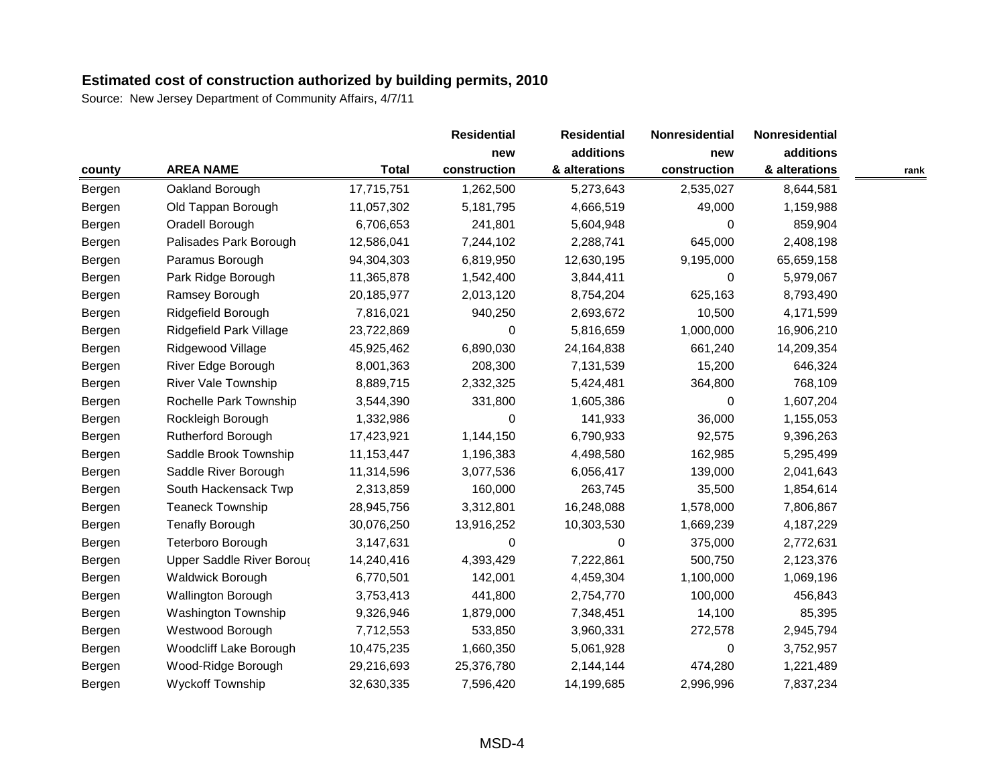|        |                            |              | <b>Residential</b> | <b>Residential</b> | Nonresidential | Nonresidential |      |
|--------|----------------------------|--------------|--------------------|--------------------|----------------|----------------|------|
|        |                            |              | new                | additions          | new            | additions      |      |
| county | <b>AREA NAME</b>           | <b>Total</b> | construction       | & alterations      | construction   | & alterations  | rank |
| Bergen | Oakland Borough            | 17,715,751   | 1,262,500          | 5,273,643          | 2,535,027      | 8,644,581      |      |
| Bergen | Old Tappan Borough         | 11,057,302   | 5,181,795          | 4,666,519          | 49,000         | 1,159,988      |      |
| Bergen | Oradell Borough            | 6,706,653    | 241,801            | 5,604,948          | 0              | 859,904        |      |
| Bergen | Palisades Park Borough     | 12,586,041   | 7,244,102          | 2,288,741          | 645,000        | 2,408,198      |      |
| Bergen | Paramus Borough            | 94,304,303   | 6,819,950          | 12,630,195         | 9,195,000      | 65,659,158     |      |
| Bergen | Park Ridge Borough         | 11,365,878   | 1,542,400          | 3,844,411          | 0              | 5,979,067      |      |
| Bergen | Ramsey Borough             | 20,185,977   | 2,013,120          | 8,754,204          | 625,163        | 8,793,490      |      |
| Bergen | Ridgefield Borough         | 7,816,021    | 940,250            | 2,693,672          | 10,500         | 4,171,599      |      |
| Bergen | Ridgefield Park Village    | 23,722,869   | 0                  | 5,816,659          | 1,000,000      | 16,906,210     |      |
| Bergen | Ridgewood Village          | 45,925,462   | 6,890,030          | 24,164,838         | 661,240        | 14,209,354     |      |
| Bergen | River Edge Borough         | 8,001,363    | 208,300            | 7,131,539          | 15,200         | 646,324        |      |
| Bergen | River Vale Township        | 8,889,715    | 2,332,325          | 5,424,481          | 364,800        | 768,109        |      |
| Bergen | Rochelle Park Township     | 3,544,390    | 331,800            | 1,605,386          | 0              | 1,607,204      |      |
| Bergen | Rockleigh Borough          | 1,332,986    | 0                  | 141,933            | 36,000         | 1,155,053      |      |
| Bergen | <b>Rutherford Borough</b>  | 17,423,921   | 1,144,150          | 6,790,933          | 92,575         | 9,396,263      |      |
| Bergen | Saddle Brook Township      | 11,153,447   | 1,196,383          | 4,498,580          | 162,985        | 5,295,499      |      |
| Bergen | Saddle River Borough       | 11,314,596   | 3,077,536          | 6,056,417          | 139,000        | 2,041,643      |      |
| Bergen | South Hackensack Twp       | 2,313,859    | 160,000            | 263,745            | 35,500         | 1,854,614      |      |
| Bergen | <b>Teaneck Township</b>    | 28,945,756   | 3,312,801          | 16,248,088         | 1,578,000      | 7,806,867      |      |
| Bergen | <b>Tenafly Borough</b>     | 30,076,250   | 13,916,252         | 10,303,530         | 1,669,239      | 4,187,229      |      |
| Bergen | Teterboro Borough          | 3,147,631    | 0                  | 0                  | 375,000        | 2,772,631      |      |
| Bergen | Upper Saddle River Boroug  | 14,240,416   | 4,393,429          | 7,222,861          | 500,750        | 2,123,376      |      |
| Bergen | <b>Waldwick Borough</b>    | 6,770,501    | 142,001            | 4,459,304          | 1,100,000      | 1,069,196      |      |
| Bergen | Wallington Borough         | 3,753,413    | 441,800            | 2,754,770          | 100,000        | 456,843        |      |
| Bergen | <b>Washington Township</b> | 9,326,946    | 1,879,000          | 7,348,451          | 14,100         | 85,395         |      |
| Bergen | Westwood Borough           | 7,712,553    | 533,850            | 3,960,331          | 272,578        | 2,945,794      |      |
| Bergen | Woodcliff Lake Borough     | 10,475,235   | 1,660,350          | 5,061,928          | 0              | 3,752,957      |      |
| Bergen | Wood-Ridge Borough         | 29,216,693   | 25,376,780         | 2,144,144          | 474,280        | 1,221,489      |      |
| Bergen | <b>Wyckoff Township</b>    | 32,630,335   | 7,596,420          | 14,199,685         | 2,996,996      | 7,837,234      |      |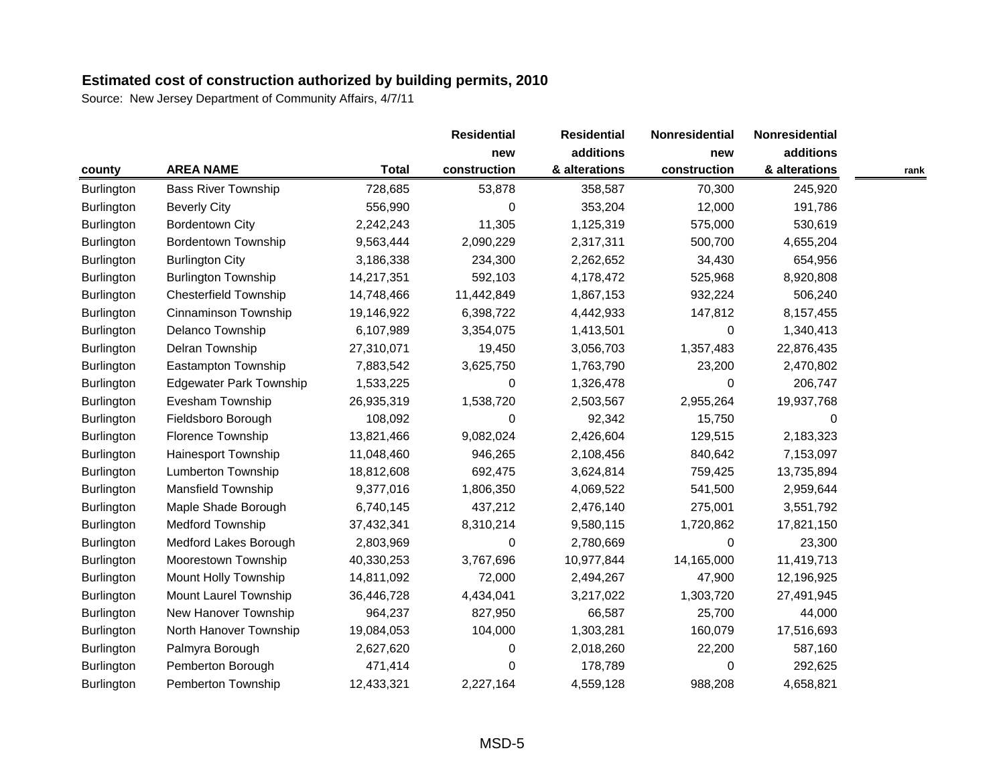|                   |                                |              | <b>Residential</b> | <b>Residential</b> | Nonresidential | Nonresidential |      |
|-------------------|--------------------------------|--------------|--------------------|--------------------|----------------|----------------|------|
|                   |                                |              | new                | additions          | new            | additions      |      |
| county            | <b>AREA NAME</b>               | <b>Total</b> | construction       | & alterations      | construction   | & alterations  | rank |
| <b>Burlington</b> | <b>Bass River Township</b>     | 728,685      | 53,878             | 358,587            | 70,300         | 245,920        |      |
| Burlington        | <b>Beverly City</b>            | 556,990      | 0                  | 353,204            | 12,000         | 191,786        |      |
| Burlington        | <b>Bordentown City</b>         | 2,242,243    | 11,305             | 1,125,319          | 575,000        | 530,619        |      |
| Burlington        | <b>Bordentown Township</b>     | 9,563,444    | 2,090,229          | 2,317,311          | 500,700        | 4,655,204      |      |
| <b>Burlington</b> | <b>Burlington City</b>         | 3,186,338    | 234,300            | 2,262,652          | 34,430         | 654,956        |      |
| Burlington        | <b>Burlington Township</b>     | 14,217,351   | 592,103            | 4,178,472          | 525,968        | 8,920,808      |      |
| Burlington        | <b>Chesterfield Township</b>   | 14,748,466   | 11,442,849         | 1,867,153          | 932,224        | 506,240        |      |
| Burlington        | Cinnaminson Township           | 19,146,922   | 6,398,722          | 4,442,933          | 147,812        | 8,157,455      |      |
| <b>Burlington</b> | Delanco Township               | 6,107,989    | 3,354,075          | 1,413,501          | 0              | 1,340,413      |      |
| <b>Burlington</b> | Delran Township                | 27,310,071   | 19,450             | 3,056,703          | 1,357,483      | 22,876,435     |      |
| <b>Burlington</b> | Eastampton Township            | 7,883,542    | 3,625,750          | 1,763,790          | 23,200         | 2,470,802      |      |
| Burlington        | <b>Edgewater Park Township</b> | 1,533,225    | 0                  | 1,326,478          | 0              | 206,747        |      |
| <b>Burlington</b> | Evesham Township               | 26,935,319   | 1,538,720          | 2,503,567          | 2,955,264      | 19,937,768     |      |
| <b>Burlington</b> | Fieldsboro Borough             | 108,092      | 0                  | 92,342             | 15,750         | 0              |      |
| <b>Burlington</b> | Florence Township              | 13,821,466   | 9,082,024          | 2,426,604          | 129,515        | 2,183,323      |      |
| Burlington        | <b>Hainesport Township</b>     | 11,048,460   | 946,265            | 2,108,456          | 840,642        | 7,153,097      |      |
| <b>Burlington</b> | <b>Lumberton Township</b>      | 18,812,608   | 692,475            | 3,624,814          | 759,425        | 13,735,894     |      |
| <b>Burlington</b> | <b>Mansfield Township</b>      | 9,377,016    | 1,806,350          | 4,069,522          | 541,500        | 2,959,644      |      |
| <b>Burlington</b> | Maple Shade Borough            | 6,740,145    | 437,212            | 2,476,140          | 275,001        | 3,551,792      |      |
| Burlington        | Medford Township               | 37,432,341   | 8,310,214          | 9,580,115          | 1,720,862      | 17,821,150     |      |
| <b>Burlington</b> | Medford Lakes Borough          | 2,803,969    | 0                  | 2,780,669          | $\Omega$       | 23,300         |      |
| <b>Burlington</b> | Moorestown Township            | 40,330,253   | 3,767,696          | 10,977,844         | 14,165,000     | 11,419,713     |      |
| Burlington        | Mount Holly Township           | 14,811,092   | 72,000             | 2,494,267          | 47,900         | 12,196,925     |      |
| <b>Burlington</b> | Mount Laurel Township          | 36,446,728   | 4,434,041          | 3,217,022          | 1,303,720      | 27,491,945     |      |
| <b>Burlington</b> | New Hanover Township           | 964,237      | 827,950            | 66,587             | 25,700         | 44,000         |      |
| <b>Burlington</b> | North Hanover Township         | 19,084,053   | 104,000            | 1,303,281          | 160,079        | 17,516,693     |      |
| Burlington        | Palmyra Borough                | 2,627,620    | 0                  | 2,018,260          | 22,200         | 587,160        |      |
| Burlington        | Pemberton Borough              | 471,414      | 0                  | 178,789            | 0              | 292,625        |      |
| <b>Burlington</b> | Pemberton Township             | 12,433,321   | 2,227,164          | 4,559,128          | 988,208        | 4,658,821      |      |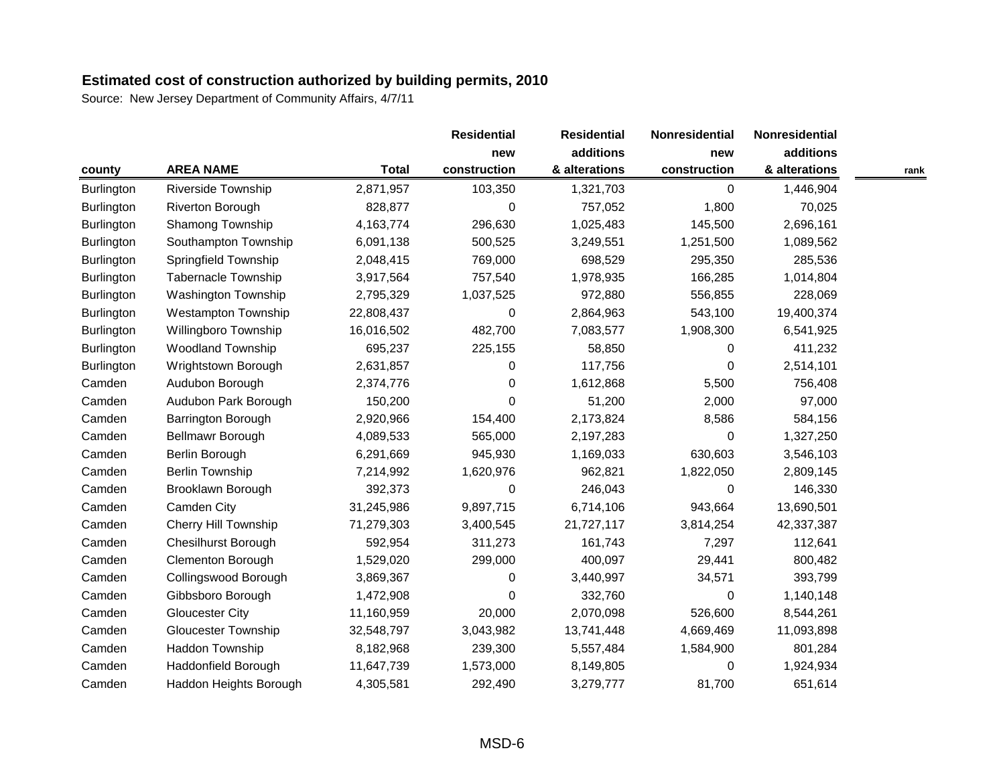|                   |                             |              | <b>Residential</b> | <b>Residential</b> | Nonresidential | Nonresidential |      |
|-------------------|-----------------------------|--------------|--------------------|--------------------|----------------|----------------|------|
|                   |                             |              | new                | additions          | new            | additions      |      |
| county            | <b>AREA NAME</b>            | <b>Total</b> | construction       | & alterations      | construction   | & alterations  | rank |
| <b>Burlington</b> | <b>Riverside Township</b>   | 2,871,957    | 103,350            | 1,321,703          | 0              | 1,446,904      |      |
| <b>Burlington</b> | Riverton Borough            | 828,877      | 0                  | 757,052            | 1,800          | 70,025         |      |
| Burlington        | Shamong Township            | 4,163,774    | 296,630            | 1,025,483          | 145,500        | 2,696,161      |      |
| Burlington        | Southampton Township        | 6,091,138    | 500,525            | 3,249,551          | 1,251,500      | 1,089,562      |      |
| <b>Burlington</b> | Springfield Township        | 2,048,415    | 769,000            | 698,529            | 295,350        | 285,536        |      |
| Burlington        | Tabernacle Township         | 3,917,564    | 757,540            | 1,978,935          | 166,285        | 1,014,804      |      |
| Burlington        | <b>Washington Township</b>  | 2,795,329    | 1,037,525          | 972,880            | 556,855        | 228,069        |      |
| Burlington        | <b>Westampton Township</b>  | 22,808,437   | 0                  | 2,864,963          | 543,100        | 19,400,374     |      |
| Burlington        | Willingboro Township        | 16,016,502   | 482,700            | 7,083,577          | 1,908,300      | 6,541,925      |      |
| Burlington        | <b>Woodland Township</b>    | 695,237      | 225,155            | 58,850             | $\Omega$       | 411,232        |      |
| <b>Burlington</b> | Wrightstown Borough         | 2,631,857    | 0                  | 117,756            | $\Omega$       | 2,514,101      |      |
| Camden            | Audubon Borough             | 2,374,776    | 0                  | 1,612,868          | 5,500          | 756,408        |      |
| Camden            | Audubon Park Borough        | 150,200      | 0                  | 51,200             | 2,000          | 97,000         |      |
| Camden            | Barrington Borough          | 2,920,966    | 154,400            | 2,173,824          | 8,586          | 584,156        |      |
| Camden            | Bellmawr Borough            | 4,089,533    | 565,000            | 2,197,283          | 0              | 1,327,250      |      |
| Camden            | Berlin Borough              | 6,291,669    | 945,930            | 1,169,033          | 630,603        | 3,546,103      |      |
| Camden            | <b>Berlin Township</b>      | 7,214,992    | 1,620,976          | 962,821            | 1,822,050      | 2,809,145      |      |
| Camden            | Brooklawn Borough           | 392,373      | 0                  | 246,043            | 0              | 146,330        |      |
| Camden            | Camden City                 | 31,245,986   | 9,897,715          | 6,714,106          | 943,664        | 13,690,501     |      |
| Camden            | <b>Cherry Hill Township</b> | 71,279,303   | 3,400,545          | 21,727,117         | 3,814,254      | 42,337,387     |      |
| Camden            | <b>Chesilhurst Borough</b>  | 592,954      | 311,273            | 161,743            | 7,297          | 112,641        |      |
| Camden            | <b>Clementon Borough</b>    | 1,529,020    | 299,000            | 400,097            | 29,441         | 800,482        |      |
| Camden            | Collingswood Borough        | 3,869,367    | 0                  | 3,440,997          | 34,571         | 393,799        |      |
| Camden            | Gibbsboro Borough           | 1,472,908    | 0                  | 332,760            | 0              | 1,140,148      |      |
| Camden            | <b>Gloucester City</b>      | 11,160,959   | 20,000             | 2,070,098          | 526,600        | 8,544,261      |      |
| Camden            | <b>Gloucester Township</b>  | 32,548,797   | 3,043,982          | 13,741,448         | 4,669,469      | 11,093,898     |      |
| Camden            | Haddon Township             | 8,182,968    | 239,300            | 5,557,484          | 1,584,900      | 801,284        |      |
| Camden            | Haddonfield Borough         | 11,647,739   | 1,573,000          | 8,149,805          | 0              | 1,924,934      |      |
| Camden            | Haddon Heights Borough      | 4,305,581    | 292,490            | 3,279,777          | 81,700         | 651,614        |      |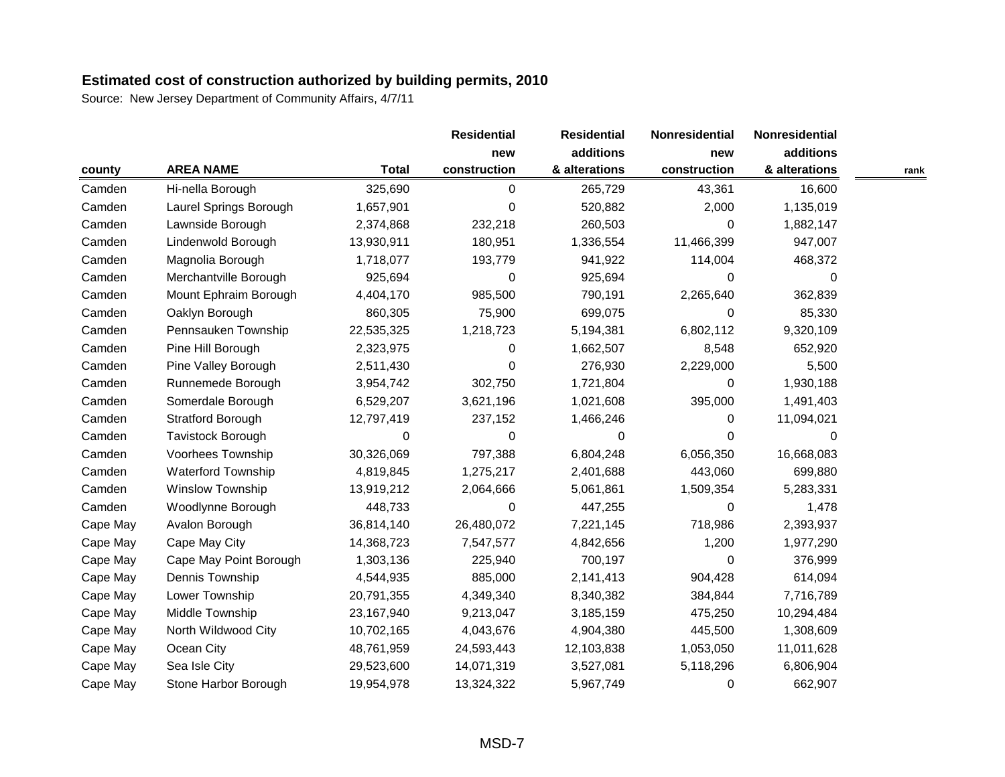|          |                           |              | <b>Residential</b> | <b>Residential</b> | Nonresidential | Nonresidential |      |
|----------|---------------------------|--------------|--------------------|--------------------|----------------|----------------|------|
|          |                           |              | new                | additions          | new            | additions      |      |
| county   | <b>AREA NAME</b>          | <b>Total</b> | construction       | & alterations      | construction   | & alterations  | rank |
| Camden   | Hi-nella Borough          | 325,690      | 0                  | 265,729            | 43,361         | 16,600         |      |
| Camden   | Laurel Springs Borough    | 1,657,901    | 0                  | 520,882            | 2,000          | 1,135,019      |      |
| Camden   | Lawnside Borough          | 2,374,868    | 232,218            | 260,503            | 0              | 1,882,147      |      |
| Camden   | Lindenwold Borough        | 13,930,911   | 180,951            | 1,336,554          | 11,466,399     | 947,007        |      |
| Camden   | Magnolia Borough          | 1,718,077    | 193,779            | 941,922            | 114,004        | 468,372        |      |
| Camden   | Merchantville Borough     | 925,694      | 0                  | 925,694            | 0              | 0              |      |
| Camden   | Mount Ephraim Borough     | 4,404,170    | 985,500            | 790,191            | 2,265,640      | 362,839        |      |
| Camden   | Oaklyn Borough            | 860,305      | 75,900             | 699,075            | 0              | 85,330         |      |
| Camden   | Pennsauken Township       | 22,535,325   | 1,218,723          | 5,194,381          | 6,802,112      | 9,320,109      |      |
| Camden   | Pine Hill Borough         | 2,323,975    | 0                  | 1,662,507          | 8,548          | 652,920        |      |
| Camden   | Pine Valley Borough       | 2,511,430    | 0                  | 276,930            | 2,229,000      | 5,500          |      |
| Camden   | Runnemede Borough         | 3,954,742    | 302,750            | 1,721,804          | 0              | 1,930,188      |      |
| Camden   | Somerdale Borough         | 6,529,207    | 3,621,196          | 1,021,608          | 395,000        | 1,491,403      |      |
| Camden   | <b>Stratford Borough</b>  | 12,797,419   | 237,152            | 1,466,246          | $\Omega$       | 11,094,021     |      |
| Camden   | Tavistock Borough         | 0            | 0                  | 0                  | $\Omega$       | $\Omega$       |      |
| Camden   | Voorhees Township         | 30,326,069   | 797,388            | 6,804,248          | 6,056,350      | 16,668,083     |      |
| Camden   | <b>Waterford Township</b> | 4,819,845    | 1,275,217          | 2,401,688          | 443,060        | 699,880        |      |
| Camden   | <b>Winslow Township</b>   | 13,919,212   | 2,064,666          | 5,061,861          | 1,509,354      | 5,283,331      |      |
| Camden   | Woodlynne Borough         | 448,733      | 0                  | 447,255            | $\pmb{0}$      | 1,478          |      |
| Cape May | Avalon Borough            | 36,814,140   | 26,480,072         | 7,221,145          | 718,986        | 2,393,937      |      |
| Cape May | Cape May City             | 14,368,723   | 7,547,577          | 4,842,656          | 1,200          | 1,977,290      |      |
| Cape May | Cape May Point Borough    | 1,303,136    | 225,940            | 700,197            | $\Omega$       | 376,999        |      |
| Cape May | Dennis Township           | 4,544,935    | 885,000            | 2,141,413          | 904,428        | 614,094        |      |
| Cape May | Lower Township            | 20,791,355   | 4,349,340          | 8,340,382          | 384,844        | 7,716,789      |      |
| Cape May | Middle Township           | 23,167,940   | 9,213,047          | 3,185,159          | 475,250        | 10,294,484     |      |
| Cape May | North Wildwood City       | 10,702,165   | 4,043,676          | 4,904,380          | 445,500        | 1,308,609      |      |
| Cape May | Ocean City                | 48,761,959   | 24,593,443         | 12,103,838         | 1,053,050      | 11,011,628     |      |
| Cape May | Sea Isle City             | 29,523,600   | 14,071,319         | 3,527,081          | 5,118,296      | 6,806,904      |      |
| Cape May | Stone Harbor Borough      | 19,954,978   | 13,324,322         | 5,967,749          | 0              | 662,907        |      |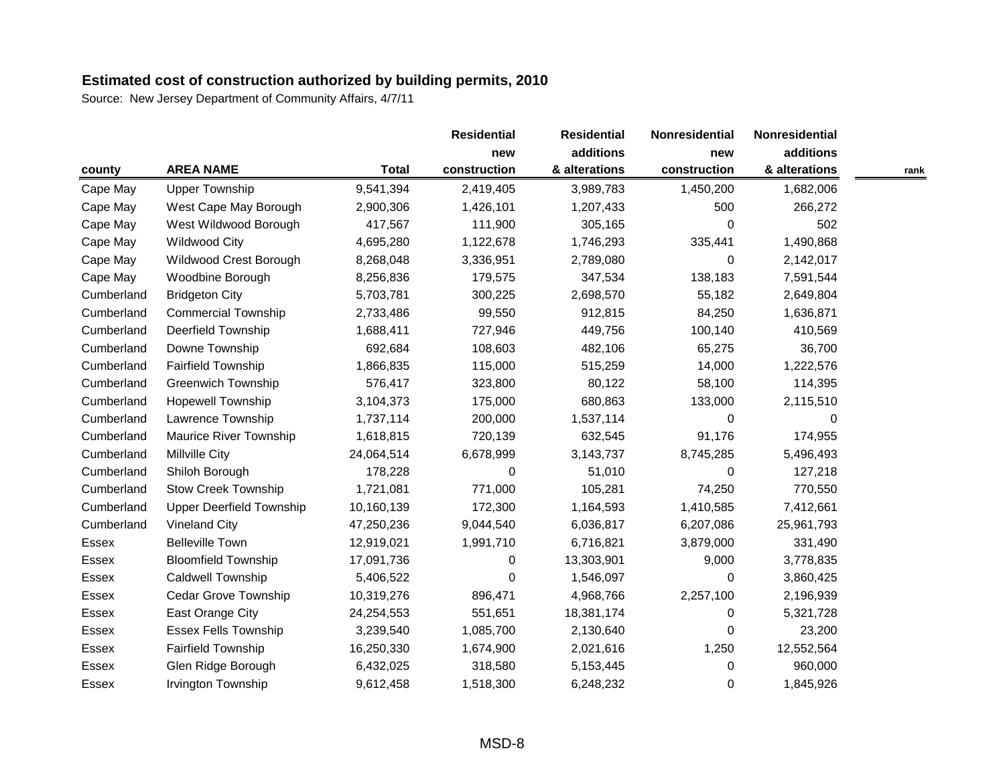|              |                                 |              | <b>Residential</b> | <b>Residential</b> | Nonresidential | Nonresidential |      |
|--------------|---------------------------------|--------------|--------------------|--------------------|----------------|----------------|------|
|              |                                 |              | new                | additions          | new            | additions      |      |
| county       | <b>AREA NAME</b>                | <b>Total</b> | construction       | & alterations      | construction   | & alterations  | rank |
| Cape May     | <b>Upper Township</b>           | 9,541,394    | 2,419,405          | 3,989,783          | 1,450,200      | 1,682,006      |      |
| Cape May     | West Cape May Borough           | 2,900,306    | 1,426,101          | 1,207,433          | 500            | 266,272        |      |
| Cape May     | West Wildwood Borough           | 417,567      | 111,900            | 305,165            | 0              | 502            |      |
| Cape May     | <b>Wildwood City</b>            | 4,695,280    | 1,122,678          | 1,746,293          | 335,441        | 1,490,868      |      |
| Cape May     | Wildwood Crest Borough          | 8,268,048    | 3,336,951          | 2,789,080          | 0              | 2,142,017      |      |
| Cape May     | Woodbine Borough                | 8,256,836    | 179,575            | 347,534            | 138,183        | 7,591,544      |      |
| Cumberland   | <b>Bridgeton City</b>           | 5,703,781    | 300,225            | 2,698,570          | 55,182         | 2,649,804      |      |
| Cumberland   | <b>Commercial Township</b>      | 2,733,486    | 99,550             | 912,815            | 84,250         | 1,636,871      |      |
| Cumberland   | Deerfield Township              | 1,688,411    | 727,946            | 449,756            | 100,140        | 410,569        |      |
| Cumberland   | Downe Township                  | 692,684      | 108,603            | 482,106            | 65,275         | 36,700         |      |
| Cumberland   | <b>Fairfield Township</b>       | 1,866,835    | 115,000            | 515,259            | 14,000         | 1,222,576      |      |
| Cumberland   | <b>Greenwich Township</b>       | 576,417      | 323,800            | 80,122             | 58,100         | 114,395        |      |
| Cumberland   | <b>Hopewell Township</b>        | 3,104,373    | 175,000            | 680,863            | 133,000        | 2,115,510      |      |
| Cumberland   | Lawrence Township               | 1,737,114    | 200,000            | 1,537,114          | 0              | 0              |      |
| Cumberland   | <b>Maurice River Township</b>   | 1,618,815    | 720,139            | 632,545            | 91,176         | 174,955        |      |
| Cumberland   | Millville City                  | 24,064,514   | 6,678,999          | 3,143,737          | 8,745,285      | 5,496,493      |      |
| Cumberland   | Shiloh Borough                  | 178,228      | 0                  | 51,010             | $\pmb{0}$      | 127,218        |      |
| Cumberland   | <b>Stow Creek Township</b>      | 1,721,081    | 771,000            | 105,281            | 74,250         | 770,550        |      |
| Cumberland   | <b>Upper Deerfield Township</b> | 10,160,139   | 172,300            | 1,164,593          | 1,410,585      | 7,412,661      |      |
| Cumberland   | <b>Vineland City</b>            | 47,250,236   | 9,044,540          | 6,036,817          | 6,207,086      | 25,961,793     |      |
| Essex        | <b>Belleville Town</b>          | 12,919,021   | 1,991,710          | 6,716,821          | 3,879,000      | 331,490        |      |
| Essex        | <b>Bloomfield Township</b>      | 17,091,736   | 0                  | 13,303,901         | 9,000          | 3,778,835      |      |
| Essex        | Caldwell Township               | 5,406,522    | 0                  | 1,546,097          | $\pmb{0}$      | 3,860,425      |      |
| Essex        | <b>Cedar Grove Township</b>     | 10,319,276   | 896,471            | 4,968,766          | 2,257,100      | 2,196,939      |      |
| Essex        | East Orange City                | 24,254,553   | 551,651            | 18,381,174         | 0              | 5,321,728      |      |
| Essex        | <b>Essex Fells Township</b>     | 3,239,540    | 1,085,700          | 2,130,640          | 0              | 23,200         |      |
| Essex        | <b>Fairfield Township</b>       | 16,250,330   | 1,674,900          | 2,021,616          | 1,250          | 12,552,564     |      |
| Essex        | Glen Ridge Borough              | 6,432,025    | 318,580            | 5,153,445          | 0              | 960,000        |      |
| <b>Essex</b> | Irvington Township              | 9,612,458    | 1,518,300          | 6,248,232          | $\Omega$       | 1,845,926      |      |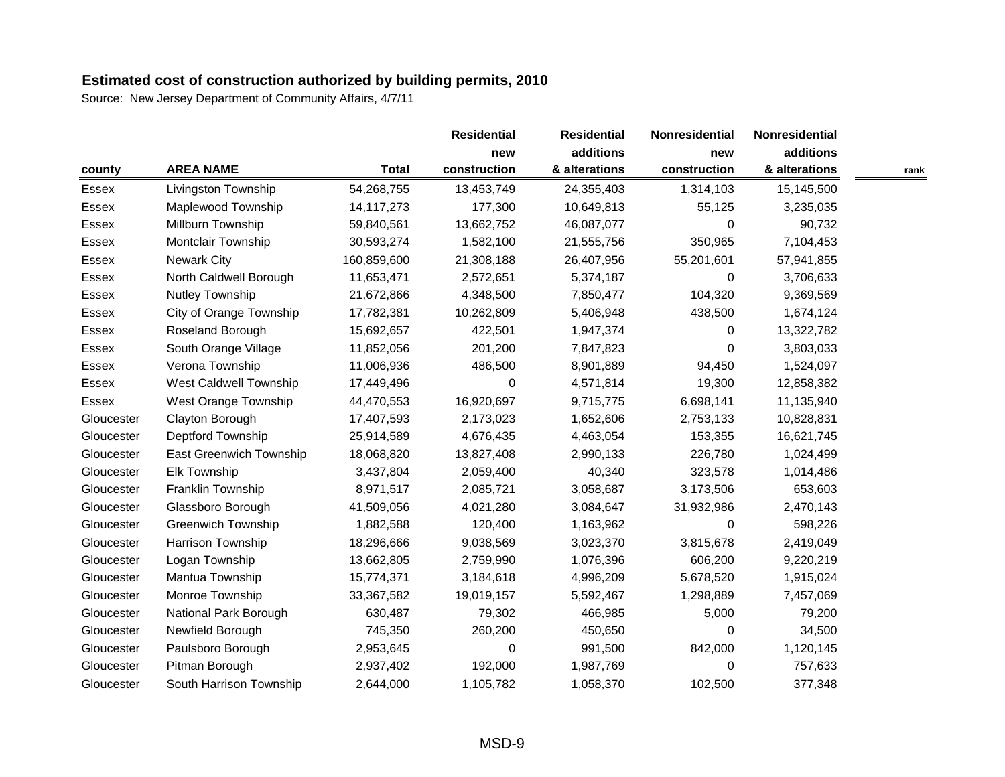|              |                           |              | <b>Residential</b> | <b>Residential</b> | Nonresidential | Nonresidential |      |
|--------------|---------------------------|--------------|--------------------|--------------------|----------------|----------------|------|
|              |                           |              | new                | additions          | new            | additions      |      |
| county       | <b>AREA NAME</b>          | <b>Total</b> | construction       | & alterations      | construction   | & alterations  | rank |
| Essex        | Livingston Township       | 54,268,755   | 13,453,749         | 24,355,403         | 1,314,103      | 15,145,500     |      |
| Essex        | Maplewood Township        | 14, 117, 273 | 177,300            | 10,649,813         | 55,125         | 3,235,035      |      |
| Essex        | Millburn Township         | 59,840,561   | 13,662,752         | 46,087,077         | 0              | 90,732         |      |
| <b>Essex</b> | Montclair Township        | 30,593,274   | 1,582,100          | 21,555,756         | 350,965        | 7,104,453      |      |
| Essex        | <b>Newark City</b>        | 160,859,600  | 21,308,188         | 26,407,956         | 55,201,601     | 57,941,855     |      |
| Essex        | North Caldwell Borough    | 11,653,471   | 2,572,651          | 5,374,187          | 0              | 3,706,633      |      |
| Essex        | <b>Nutley Township</b>    | 21,672,866   | 4,348,500          | 7,850,477          | 104,320        | 9,369,569      |      |
| Essex        | City of Orange Township   | 17,782,381   | 10,262,809         | 5,406,948          | 438,500        | 1,674,124      |      |
| Essex        | Roseland Borough          | 15,692,657   | 422,501            | 1,947,374          | $\Omega$       | 13,322,782     |      |
| Essex        | South Orange Village      | 11,852,056   | 201,200            | 7,847,823          | $\Omega$       | 3,803,033      |      |
| Essex        | Verona Township           | 11,006,936   | 486,500            | 8,901,889          | 94,450         | 1,524,097      |      |
| Essex        | West Caldwell Township    | 17,449,496   | 0                  | 4,571,814          | 19,300         | 12,858,382     |      |
| Essex        | West Orange Township      | 44,470,553   | 16,920,697         | 9,715,775          | 6,698,141      | 11,135,940     |      |
| Gloucester   | Clayton Borough           | 17,407,593   | 2,173,023          | 1,652,606          | 2,753,133      | 10,828,831     |      |
| Gloucester   | Deptford Township         | 25,914,589   | 4,676,435          | 4,463,054          | 153,355        | 16,621,745     |      |
| Gloucester   | East Greenwich Township   | 18,068,820   | 13,827,408         | 2,990,133          | 226,780        | 1,024,499      |      |
| Gloucester   | <b>Elk Township</b>       | 3,437,804    | 2,059,400          | 40,340             | 323,578        | 1,014,486      |      |
| Gloucester   | Franklin Township         | 8,971,517    | 2,085,721          | 3,058,687          | 3,173,506      | 653,603        |      |
| Gloucester   | Glassboro Borough         | 41,509,056   | 4,021,280          | 3,084,647          | 31,932,986     | 2,470,143      |      |
| Gloucester   | <b>Greenwich Township</b> | 1,882,588    | 120,400            | 1,163,962          | 0              | 598,226        |      |
| Gloucester   | Harrison Township         | 18,296,666   | 9,038,569          | 3,023,370          | 3,815,678      | 2,419,049      |      |
| Gloucester   | Logan Township            | 13,662,805   | 2,759,990          | 1,076,396          | 606,200        | 9,220,219      |      |
| Gloucester   | Mantua Township           | 15,774,371   | 3,184,618          | 4,996,209          | 5,678,520      | 1,915,024      |      |
| Gloucester   | Monroe Township           | 33,367,582   | 19,019,157         | 5,592,467          | 1,298,889      | 7,457,069      |      |
| Gloucester   | National Park Borough     | 630,487      | 79,302             | 466,985            | 5,000          | 79,200         |      |
| Gloucester   | Newfield Borough          | 745,350      | 260,200            | 450,650            | 0              | 34,500         |      |
| Gloucester   | Paulsboro Borough         | 2,953,645    | 0                  | 991,500            | 842,000        | 1,120,145      |      |
| Gloucester   | Pitman Borough            | 2,937,402    | 192,000            | 1,987,769          | 0              | 757,633        |      |
| Gloucester   | South Harrison Township   | 2,644,000    | 1,105,782          | 1,058,370          | 102,500        | 377,348        |      |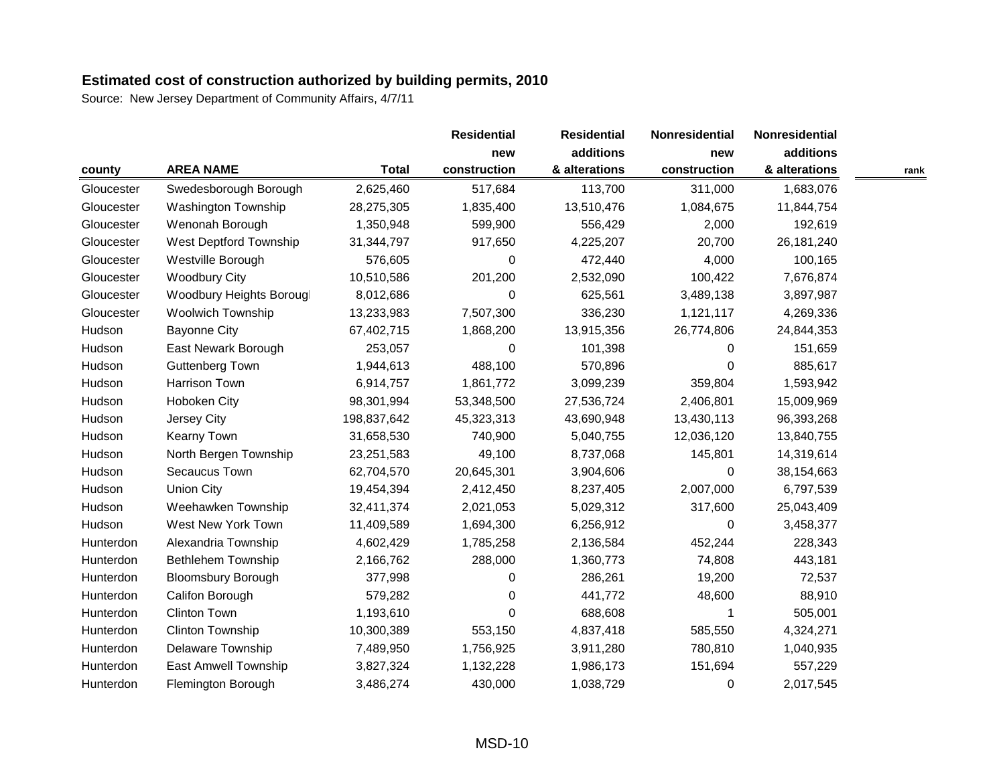Source: New Jersey Department of Community Affairs, 4/7/11

|            |                            |              | <b>Residential</b> | <b>Residential</b> | Nonresidential | Nonresidential |      |
|------------|----------------------------|--------------|--------------------|--------------------|----------------|----------------|------|
|            |                            |              | new                | additions          | new            | additions      |      |
| county     | <b>AREA NAME</b>           | <b>Total</b> | construction       | & alterations      | construction   | & alterations  | rank |
| Gloucester | Swedesborough Borough      | 2,625,460    | 517,684            | 113,700            | 311,000        | 1,683,076      |      |
| Gloucester | <b>Washington Township</b> | 28,275,305   | 1,835,400          | 13,510,476         | 1,084,675      | 11,844,754     |      |
| Gloucester | Wenonah Borough            | 1,350,948    | 599,900            | 556,429            | 2,000          | 192,619        |      |
| Gloucester | West Deptford Township     | 31,344,797   | 917,650            | 4,225,207          | 20,700         | 26, 181, 240   |      |
| Gloucester | Westville Borough          | 576,605      | 0                  | 472,440            | 4,000          | 100,165        |      |
| Gloucester | <b>Woodbury City</b>       | 10,510,586   | 201,200            | 2,532,090          | 100,422        | 7,676,874      |      |
| Gloucester | Woodbury Heights Borougl   | 8,012,686    | 0                  | 625,561            | 3,489,138      | 3,897,987      |      |
| Gloucester | <b>Woolwich Township</b>   | 13,233,983   | 7,507,300          | 336,230            | 1,121,117      | 4,269,336      |      |
| Hudson     | <b>Bayonne City</b>        | 67,402,715   | 1,868,200          | 13,915,356         | 26,774,806     | 24,844,353     |      |
| Hudson     | East Newark Borough        | 253,057      | 0                  | 101,398            | $\Omega$       | 151,659        |      |
| Hudson     | <b>Guttenberg Town</b>     | 1,944,613    | 488,100            | 570,896            | $\Omega$       | 885,617        |      |
| Hudson     | Harrison Town              | 6,914,757    | 1,861,772          | 3,099,239          | 359,804        | 1,593,942      |      |
| Hudson     | Hoboken City               | 98,301,994   | 53,348,500         | 27,536,724         | 2,406,801      | 15,009,969     |      |
| Hudson     | Jersey City                | 198,837,642  | 45,323,313         | 43,690,948         | 13,430,113     | 96,393,268     |      |
| Hudson     | Kearny Town                | 31,658,530   | 740,900            | 5,040,755          | 12,036,120     | 13,840,755     |      |
| Hudson     | North Bergen Township      | 23,251,583   | 49,100             | 8,737,068          | 145,801        | 14,319,614     |      |
| Hudson     | Secaucus Town              | 62,704,570   | 20,645,301         | 3,904,606          | 0              | 38,154,663     |      |
| Hudson     | <b>Union City</b>          | 19,454,394   | 2,412,450          | 8,237,405          | 2,007,000      | 6,797,539      |      |
| Hudson     | Weehawken Township         | 32,411,374   | 2,021,053          | 5,029,312          | 317,600        | 25,043,409     |      |
| Hudson     | West New York Town         | 11,409,589   | 1,694,300          | 6,256,912          | $\Omega$       | 3,458,377      |      |
| Hunterdon  | Alexandria Township        | 4,602,429    | 1,785,258          | 2,136,584          | 452,244        | 228,343        |      |
| Hunterdon  | <b>Bethlehem Township</b>  | 2,166,762    | 288,000            | 1,360,773          | 74,808         | 443,181        |      |
| Hunterdon  | <b>Bloomsbury Borough</b>  | 377,998      | 0                  | 286,261            | 19,200         | 72,537         |      |
| Hunterdon  | Califon Borough            | 579,282      | 0                  | 441,772            | 48,600         | 88,910         |      |
| Hunterdon  | <b>Clinton Town</b>        | 1,193,610    | 0                  | 688,608            | 1              | 505,001        |      |
| Hunterdon  | <b>Clinton Township</b>    | 10,300,389   | 553,150            | 4,837,418          | 585,550        | 4,324,271      |      |
| Hunterdon  | Delaware Township          | 7,489,950    | 1,756,925          | 3,911,280          | 780,810        | 1,040,935      |      |
| Hunterdon  | East Amwell Township       | 3,827,324    | 1,132,228          | 1,986,173          | 151,694        | 557,229        |      |
| Hunterdon  | Flemington Borough         | 3,486,274    | 430,000            | 1,038,729          | $\Omega$       | 2,017,545      |      |

MSD-10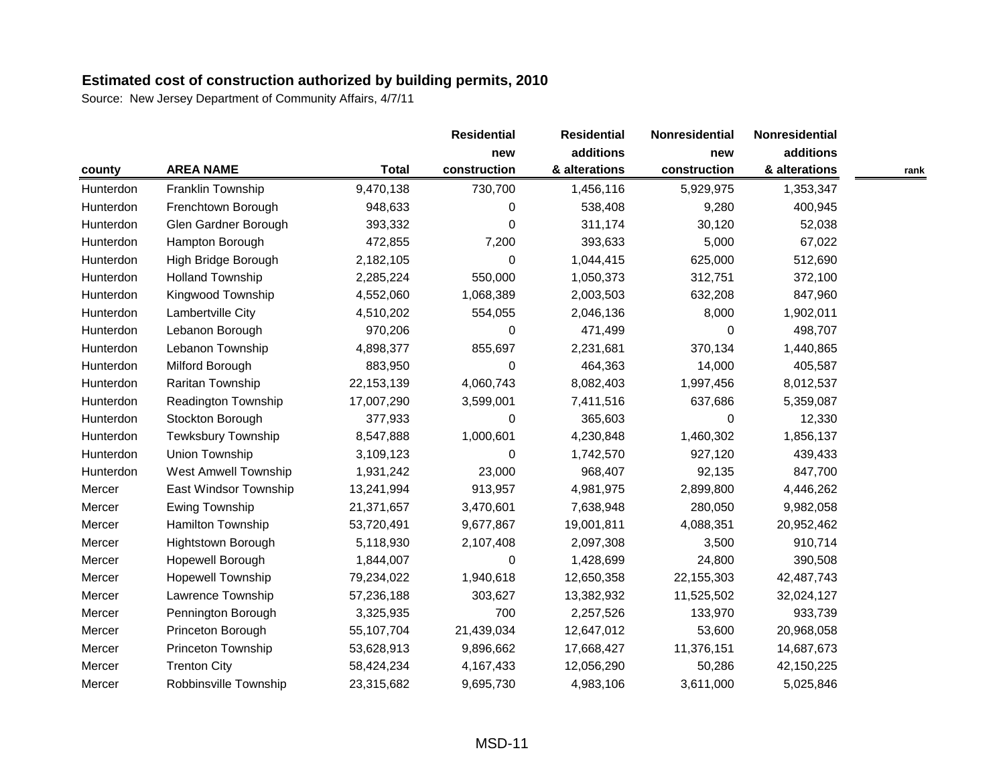|           |                             |              | <b>Residential</b> | <b>Residential</b> | Nonresidential | Nonresidential |      |
|-----------|-----------------------------|--------------|--------------------|--------------------|----------------|----------------|------|
|           |                             |              | new                | additions          | new            | additions      |      |
| county    | <b>AREA NAME</b>            | <b>Total</b> | construction       | & alterations      | construction   | & alterations  | rank |
| Hunterdon | Franklin Township           | 9,470,138    | 730,700            | 1,456,116          | 5,929,975      | 1,353,347      |      |
| Hunterdon | Frenchtown Borough          | 948,633      | 0                  | 538,408            | 9,280          | 400,945        |      |
| Hunterdon | Glen Gardner Borough        | 393,332      | 0                  | 311,174            | 30,120         | 52,038         |      |
| Hunterdon | Hampton Borough             | 472,855      | 7,200              | 393,633            | 5,000          | 67,022         |      |
| Hunterdon | High Bridge Borough         | 2,182,105    | 0                  | 1,044,415          | 625,000        | 512,690        |      |
| Hunterdon | <b>Holland Township</b>     | 2,285,224    | 550,000            | 1,050,373          | 312,751        | 372,100        |      |
| Hunterdon | Kingwood Township           | 4,552,060    | 1,068,389          | 2,003,503          | 632,208        | 847,960        |      |
| Hunterdon | Lambertville City           | 4,510,202    | 554,055            | 2,046,136          | 8,000          | 1,902,011      |      |
| Hunterdon | Lebanon Borough             | 970,206      | 0                  | 471,499            | $\Omega$       | 498,707        |      |
| Hunterdon | Lebanon Township            | 4,898,377    | 855,697            | 2,231,681          | 370,134        | 1,440,865      |      |
| Hunterdon | Milford Borough             | 883,950      | 0                  | 464,363            | 14,000         | 405,587        |      |
| Hunterdon | Raritan Township            | 22, 153, 139 | 4,060,743          | 8,082,403          | 1,997,456      | 8,012,537      |      |
| Hunterdon | Readington Township         | 17,007,290   | 3,599,001          | 7,411,516          | 637,686        | 5,359,087      |      |
| Hunterdon | Stockton Borough            | 377,933      | 0                  | 365,603            | $\Omega$       | 12,330         |      |
| Hunterdon | <b>Tewksbury Township</b>   | 8,547,888    | 1,000,601          | 4,230,848          | 1,460,302      | 1,856,137      |      |
| Hunterdon | Union Township              | 3,109,123    | 0                  | 1,742,570          | 927,120        | 439,433        |      |
| Hunterdon | <b>West Amwell Township</b> | 1,931,242    | 23,000             | 968,407            | 92,135         | 847,700        |      |
| Mercer    | East Windsor Township       | 13,241,994   | 913,957            | 4,981,975          | 2,899,800      | 4,446,262      |      |
| Mercer    | <b>Ewing Township</b>       | 21,371,657   | 3,470,601          | 7,638,948          | 280,050        | 9,982,058      |      |
| Mercer    | Hamilton Township           | 53,720,491   | 9,677,867          | 19,001,811         | 4,088,351      | 20,952,462     |      |
| Mercer    | <b>Hightstown Borough</b>   | 5,118,930    | 2,107,408          | 2,097,308          | 3,500          | 910,714        |      |
| Mercer    | Hopewell Borough            | 1,844,007    | 0                  | 1,428,699          | 24,800         | 390,508        |      |
| Mercer    | <b>Hopewell Township</b>    | 79,234,022   | 1,940,618          | 12,650,358         | 22,155,303     | 42,487,743     |      |
| Mercer    | Lawrence Township           | 57,236,188   | 303,627            | 13,382,932         | 11,525,502     | 32,024,127     |      |
| Mercer    | Pennington Borough          | 3,325,935    | 700                | 2,257,526          | 133,970        | 933,739        |      |
| Mercer    | Princeton Borough           | 55,107,704   | 21,439,034         | 12,647,012         | 53,600         | 20,968,058     |      |
| Mercer    | Princeton Township          | 53,628,913   | 9,896,662          | 17,668,427         | 11,376,151     | 14,687,673     |      |
| Mercer    | <b>Trenton City</b>         | 58,424,234   | 4,167,433          | 12,056,290         | 50,286         | 42,150,225     |      |
| Mercer    | Robbinsville Township       | 23,315,682   | 9,695,730          | 4,983,106          | 3,611,000      | 5,025,846      |      |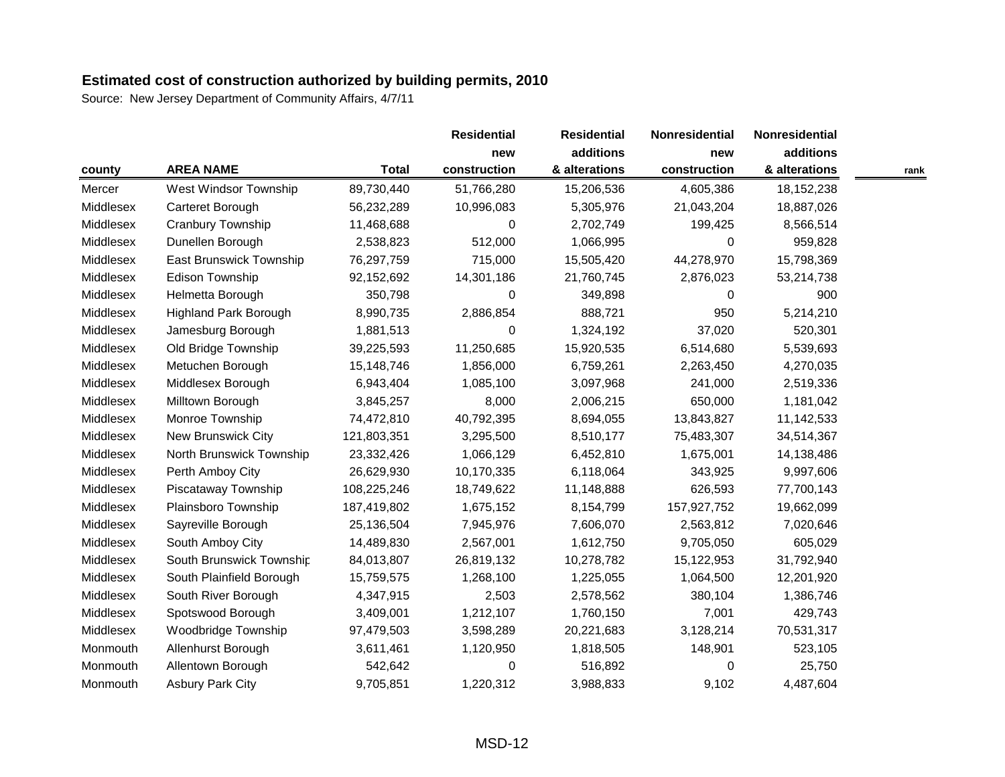|           |                                |              | <b>Residential</b> | <b>Residential</b> | Nonresidential | Nonresidential |      |
|-----------|--------------------------------|--------------|--------------------|--------------------|----------------|----------------|------|
|           |                                |              | new                | additions          | new            | additions      |      |
| county    | <b>AREA NAME</b>               | <b>Total</b> | construction       | & alterations      | construction   | & alterations  | rank |
| Mercer    | West Windsor Township          | 89,730,440   | 51,766,280         | 15,206,536         | 4,605,386      | 18, 152, 238   |      |
| Middlesex | Carteret Borough               | 56,232,289   | 10,996,083         | 5,305,976          | 21,043,204     | 18,887,026     |      |
| Middlesex | Cranbury Township              | 11,468,688   | 0                  | 2,702,749          | 199,425        | 8,566,514      |      |
| Middlesex | Dunellen Borough               | 2,538,823    | 512,000            | 1,066,995          | $\Omega$       | 959,828        |      |
| Middlesex | <b>East Brunswick Township</b> | 76,297,759   | 715,000            | 15,505,420         | 44,278,970     | 15,798,369     |      |
| Middlesex | Edison Township                | 92,152,692   | 14,301,186         | 21,760,745         | 2,876,023      | 53,214,738     |      |
| Middlesex | Helmetta Borough               | 350,798      | 0                  | 349,898            | 0              | 900            |      |
| Middlesex | <b>Highland Park Borough</b>   | 8,990,735    | 2,886,854          | 888,721            | 950            | 5,214,210      |      |
| Middlesex | Jamesburg Borough              | 1,881,513    | 0                  | 1,324,192          | 37,020         | 520,301        |      |
| Middlesex | Old Bridge Township            | 39,225,593   | 11,250,685         | 15,920,535         | 6,514,680      | 5,539,693      |      |
| Middlesex | Metuchen Borough               | 15,148,746   | 1,856,000          | 6,759,261          | 2,263,450      | 4,270,035      |      |
| Middlesex | Middlesex Borough              | 6,943,404    | 1,085,100          | 3,097,968          | 241,000        | 2,519,336      |      |
| Middlesex | Milltown Borough               | 3,845,257    | 8,000              | 2,006,215          | 650,000        | 1,181,042      |      |
| Middlesex | Monroe Township                | 74,472,810   | 40,792,395         | 8,694,055          | 13,843,827     | 11,142,533     |      |
| Middlesex | New Brunswick City             | 121,803,351  | 3,295,500          | 8,510,177          | 75,483,307     | 34,514,367     |      |
| Middlesex | North Brunswick Township       | 23,332,426   | 1,066,129          | 6,452,810          | 1,675,001      | 14,138,486     |      |
| Middlesex | Perth Amboy City               | 26,629,930   | 10,170,335         | 6,118,064          | 343,925        | 9,997,606      |      |
| Middlesex | Piscataway Township            | 108,225,246  | 18,749,622         | 11,148,888         | 626,593        | 77,700,143     |      |
| Middlesex | Plainsboro Township            | 187,419,802  | 1,675,152          | 8,154,799          | 157,927,752    | 19,662,099     |      |
| Middlesex | Sayreville Borough             | 25,136,504   | 7,945,976          | 7,606,070          | 2,563,812      | 7,020,646      |      |
| Middlesex | South Amboy City               | 14,489,830   | 2,567,001          | 1,612,750          | 9,705,050      | 605,029        |      |
| Middlesex | South Brunswick Township       | 84,013,807   | 26,819,132         | 10,278,782         | 15,122,953     | 31,792,940     |      |
| Middlesex | South Plainfield Borough       | 15,759,575   | 1,268,100          | 1,225,055          | 1,064,500      | 12,201,920     |      |
| Middlesex | South River Borough            | 4,347,915    | 2,503              | 2,578,562          | 380,104        | 1,386,746      |      |
| Middlesex | Spotswood Borough              | 3,409,001    | 1,212,107          | 1,760,150          | 7,001          | 429,743        |      |
| Middlesex | Woodbridge Township            | 97,479,503   | 3,598,289          | 20,221,683         | 3,128,214      | 70,531,317     |      |
| Monmouth  | Allenhurst Borough             | 3,611,461    | 1,120,950          | 1,818,505          | 148,901        | 523,105        |      |
| Monmouth  | Allentown Borough              | 542,642      | 0                  | 516,892            | 0              | 25,750         |      |
| Monmouth  | <b>Asbury Park City</b>        | 9,705,851    | 1,220,312          | 3,988,833          | 9,102          | 4,487,604      |      |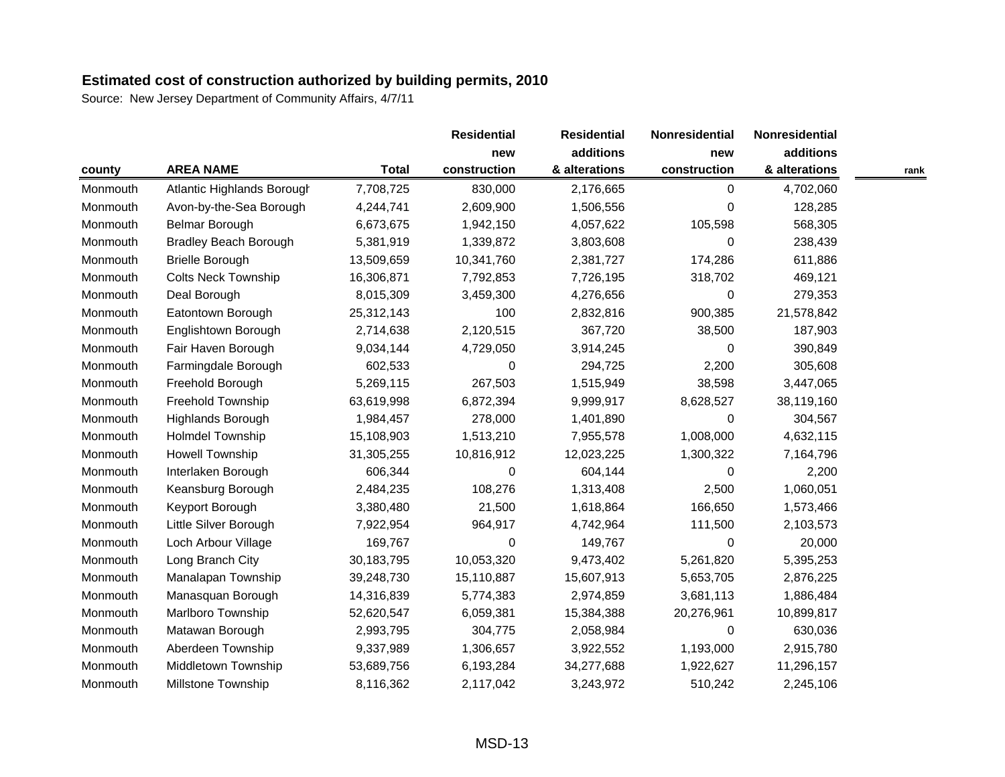|          |                              |              | <b>Residential</b> | <b>Residential</b> | Nonresidential | Nonresidential |      |
|----------|------------------------------|--------------|--------------------|--------------------|----------------|----------------|------|
|          |                              |              | new                | additions          | new            | additions      |      |
| county   | <b>AREA NAME</b>             | <b>Total</b> | construction       | & alterations      | construction   | & alterations  | rank |
| Monmouth | Atlantic Highlands Borough   | 7,708,725    | 830,000            | 2,176,665          | 0              | 4,702,060      |      |
| Monmouth | Avon-by-the-Sea Borough      | 4,244,741    | 2,609,900          | 1,506,556          | $\Omega$       | 128,285        |      |
| Monmouth | Belmar Borough               | 6,673,675    | 1,942,150          | 4,057,622          | 105,598        | 568,305        |      |
| Monmouth | <b>Bradley Beach Borough</b> | 5,381,919    | 1,339,872          | 3,803,608          | $\Omega$       | 238,439        |      |
| Monmouth | <b>Brielle Borough</b>       | 13,509,659   | 10,341,760         | 2,381,727          | 174,286        | 611,886        |      |
| Monmouth | <b>Colts Neck Township</b>   | 16,306,871   | 7,792,853          | 7,726,195          | 318,702        | 469,121        |      |
| Monmouth | Deal Borough                 | 8,015,309    | 3,459,300          | 4,276,656          | 0              | 279,353        |      |
| Monmouth | Eatontown Borough            | 25,312,143   | 100                | 2,832,816          | 900,385        | 21,578,842     |      |
| Monmouth | Englishtown Borough          | 2,714,638    | 2,120,515          | 367,720            | 38,500         | 187,903        |      |
| Monmouth | Fair Haven Borough           | 9,034,144    | 4,729,050          | 3,914,245          | $\Omega$       | 390,849        |      |
| Monmouth | Farmingdale Borough          | 602,533      | 0                  | 294,725            | 2,200          | 305,608        |      |
| Monmouth | Freehold Borough             | 5,269,115    | 267,503            | 1,515,949          | 38,598         | 3,447,065      |      |
| Monmouth | Freehold Township            | 63,619,998   | 6,872,394          | 9,999,917          | 8,628,527      | 38,119,160     |      |
| Monmouth | Highlands Borough            | 1,984,457    | 278,000            | 1,401,890          | 0              | 304,567        |      |
| Monmouth | Holmdel Township             | 15,108,903   | 1,513,210          | 7,955,578          | 1,008,000      | 4,632,115      |      |
| Monmouth | Howell Township              | 31,305,255   | 10,816,912         | 12,023,225         | 1,300,322      | 7,164,796      |      |
| Monmouth | Interlaken Borough           | 606,344      | 0                  | 604,144            | 0              | 2,200          |      |
| Monmouth | Keansburg Borough            | 2,484,235    | 108,276            | 1,313,408          | 2,500          | 1,060,051      |      |
| Monmouth | Keyport Borough              | 3,380,480    | 21,500             | 1,618,864          | 166,650        | 1,573,466      |      |
| Monmouth | Little Silver Borough        | 7,922,954    | 964,917            | 4,742,964          | 111,500        | 2,103,573      |      |
| Monmouth | Loch Arbour Village          | 169,767      | 0                  | 149,767            | $\Omega$       | 20,000         |      |
| Monmouth | Long Branch City             | 30,183,795   | 10,053,320         | 9,473,402          | 5,261,820      | 5,395,253      |      |
| Monmouth | Manalapan Township           | 39,248,730   | 15,110,887         | 15,607,913         | 5,653,705      | 2,876,225      |      |
| Monmouth | Manasquan Borough            | 14,316,839   | 5,774,383          | 2,974,859          | 3,681,113      | 1,886,484      |      |
| Monmouth | Marlboro Township            | 52,620,547   | 6,059,381          | 15,384,388         | 20,276,961     | 10,899,817     |      |
| Monmouth | Matawan Borough              | 2,993,795    | 304,775            | 2,058,984          | $\Omega$       | 630,036        |      |
| Monmouth | Aberdeen Township            | 9,337,989    | 1,306,657          | 3,922,552          | 1,193,000      | 2,915,780      |      |
| Monmouth | Middletown Township          | 53,689,756   | 6,193,284          | 34,277,688         | 1,922,627      | 11,296,157     |      |
| Monmouth | <b>Millstone Township</b>    | 8,116,362    | 2,117,042          | 3,243,972          | 510,242        | 2,245,106      |      |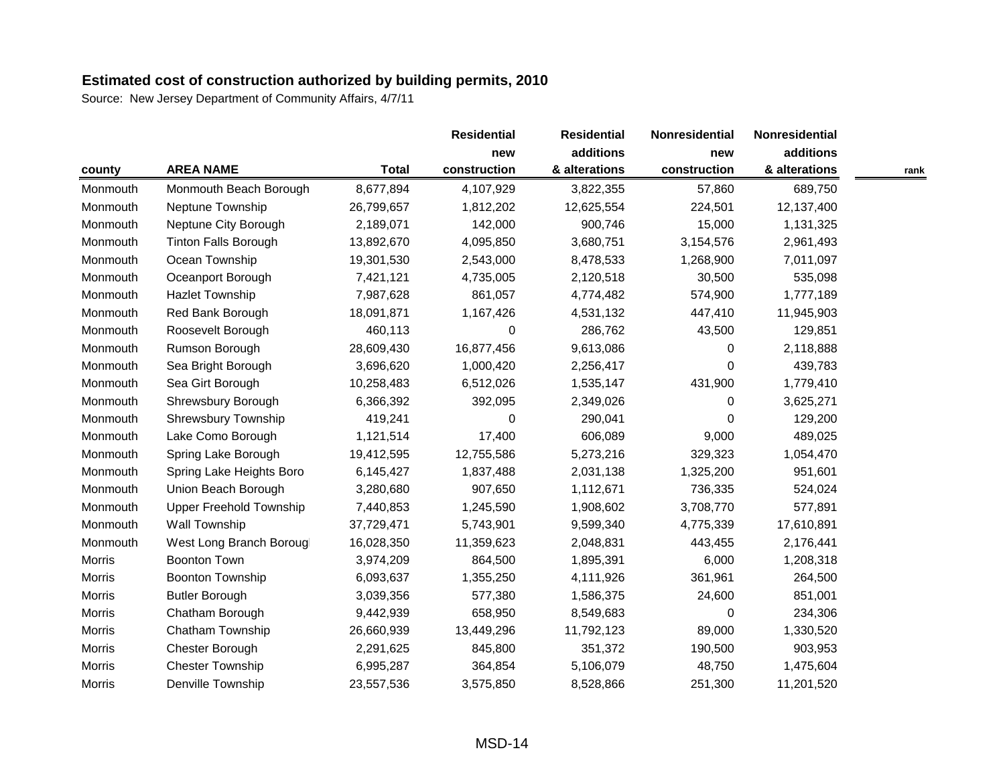|               |                                |              | <b>Residential</b> | <b>Residential</b> | Nonresidential | Nonresidential |      |
|---------------|--------------------------------|--------------|--------------------|--------------------|----------------|----------------|------|
|               |                                |              | new                | additions          | new            | additions      |      |
| county        | <b>AREA NAME</b>               | <b>Total</b> | construction       | & alterations      | construction   | & alterations  | rank |
| Monmouth      | Monmouth Beach Borough         | 8,677,894    | 4,107,929          | 3,822,355          | 57,860         | 689,750        |      |
| Monmouth      | Neptune Township               | 26,799,657   | 1,812,202          | 12,625,554         | 224,501        | 12,137,400     |      |
| Monmouth      | Neptune City Borough           | 2,189,071    | 142,000            | 900,746            | 15,000         | 1,131,325      |      |
| Monmouth      | Tinton Falls Borough           | 13,892,670   | 4,095,850          | 3,680,751          | 3,154,576      | 2,961,493      |      |
| Monmouth      | Ocean Township                 | 19,301,530   | 2,543,000          | 8,478,533          | 1,268,900      | 7,011,097      |      |
| Monmouth      | Oceanport Borough              | 7,421,121    | 4,735,005          | 2,120,518          | 30,500         | 535,098        |      |
| Monmouth      | <b>Hazlet Township</b>         | 7,987,628    | 861,057            | 4,774,482          | 574,900        | 1,777,189      |      |
| Monmouth      | Red Bank Borough               | 18,091,871   | 1,167,426          | 4,531,132          | 447,410        | 11,945,903     |      |
| Monmouth      | Roosevelt Borough              | 460,113      | 0                  | 286,762            | 43,500         | 129,851        |      |
| Monmouth      | Rumson Borough                 | 28,609,430   | 16,877,456         | 9,613,086          | $\Omega$       | 2,118,888      |      |
| Monmouth      | Sea Bright Borough             | 3,696,620    | 1,000,420          | 2,256,417          | $\Omega$       | 439,783        |      |
| Monmouth      | Sea Girt Borough               | 10,258,483   | 6,512,026          | 1,535,147          | 431,900        | 1,779,410      |      |
| Monmouth      | Shrewsbury Borough             | 6,366,392    | 392,095            | 2,349,026          | 0              | 3,625,271      |      |
| Monmouth      | <b>Shrewsbury Township</b>     | 419,241      | 0                  | 290,041            | $\Omega$       | 129,200        |      |
| Monmouth      | Lake Como Borough              | 1,121,514    | 17,400             | 606,089            | 9,000          | 489,025        |      |
| Monmouth      | Spring Lake Borough            | 19,412,595   | 12,755,586         | 5,273,216          | 329,323        | 1,054,470      |      |
| Monmouth      | Spring Lake Heights Boro       | 6,145,427    | 1,837,488          | 2,031,138          | 1,325,200      | 951,601        |      |
| Monmouth      | Union Beach Borough            | 3,280,680    | 907,650            | 1,112,671          | 736,335        | 524,024        |      |
| Monmouth      | <b>Upper Freehold Township</b> | 7,440,853    | 1,245,590          | 1,908,602          | 3,708,770      | 577,891        |      |
| Monmouth      | Wall Township                  | 37,729,471   | 5,743,901          | 9,599,340          | 4,775,339      | 17,610,891     |      |
| Monmouth      | West Long Branch Borougl       | 16,028,350   | 11,359,623         | 2,048,831          | 443,455        | 2,176,441      |      |
| <b>Morris</b> | <b>Boonton Town</b>            | 3,974,209    | 864,500            | 1,895,391          | 6,000          | 1,208,318      |      |
| <b>Morris</b> | <b>Boonton Township</b>        | 6,093,637    | 1,355,250          | 4,111,926          | 361,961        | 264,500        |      |
| <b>Morris</b> | <b>Butler Borough</b>          | 3,039,356    | 577,380            | 1,586,375          | 24,600         | 851,001        |      |
| <b>Morris</b> | Chatham Borough                | 9,442,939    | 658,950            | 8,549,683          | $\Omega$       | 234,306        |      |
| Morris        | Chatham Township               | 26,660,939   | 13,449,296         | 11,792,123         | 89,000         | 1,330,520      |      |
| <b>Morris</b> | Chester Borough                | 2,291,625    | 845,800            | 351,372            | 190,500        | 903,953        |      |
| <b>Morris</b> | <b>Chester Township</b>        | 6,995,287    | 364,854            | 5,106,079          | 48,750         | 1,475,604      |      |
| Morris        | Denville Township              | 23,557,536   | 3,575,850          | 8,528,866          | 251,300        | 11,201,520     |      |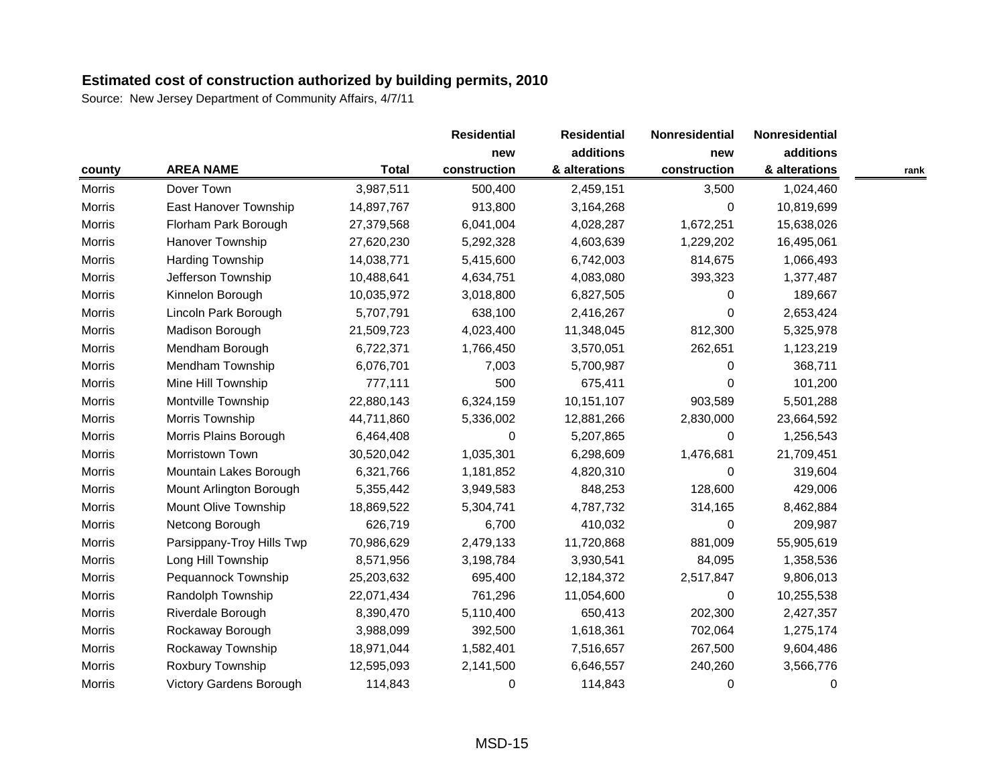|               |                           |              | <b>Residential</b> | <b>Residential</b> | Nonresidential | Nonresidential |      |
|---------------|---------------------------|--------------|--------------------|--------------------|----------------|----------------|------|
|               |                           |              | new                | additions          | new            | additions      |      |
| county        | <b>AREA NAME</b>          | <b>Total</b> | construction       | & alterations      | construction   | & alterations  | rank |
| <b>Morris</b> | Dover Town                | 3,987,511    | 500,400            | 2,459,151          | 3,500          | 1,024,460      |      |
| <b>Morris</b> | East Hanover Township     | 14,897,767   | 913,800            | 3,164,268          | 0              | 10,819,699     |      |
| <b>Morris</b> | Florham Park Borough      | 27,379,568   | 6,041,004          | 4,028,287          | 1,672,251      | 15,638,026     |      |
| <b>Morris</b> | Hanover Township          | 27,620,230   | 5,292,328          | 4,603,639          | 1,229,202      | 16,495,061     |      |
| <b>Morris</b> | Harding Township          | 14,038,771   | 5,415,600          | 6,742,003          | 814,675        | 1,066,493      |      |
| Morris        | Jefferson Township        | 10,488,641   | 4,634,751          | 4,083,080          | 393,323        | 1,377,487      |      |
| Morris        | Kinnelon Borough          | 10,035,972   | 3,018,800          | 6,827,505          | 0              | 189,667        |      |
| <b>Morris</b> | Lincoln Park Borough      | 5,707,791    | 638,100            | 2,416,267          | 0              | 2,653,424      |      |
| Morris        | Madison Borough           | 21,509,723   | 4,023,400          | 11,348,045         | 812,300        | 5,325,978      |      |
| <b>Morris</b> | Mendham Borough           | 6,722,371    | 1,766,450          | 3,570,051          | 262,651        | 1,123,219      |      |
| <b>Morris</b> | Mendham Township          | 6,076,701    | 7,003              | 5,700,987          | 0              | 368,711        |      |
| Morris        | Mine Hill Township        | 777,111      | 500                | 675,411            | $\Omega$       | 101,200        |      |
| <b>Morris</b> | Montville Township        | 22,880,143   | 6,324,159          | 10,151,107         | 903,589        | 5,501,288      |      |
| <b>Morris</b> | Morris Township           | 44,711,860   | 5,336,002          | 12,881,266         | 2,830,000      | 23,664,592     |      |
| <b>Morris</b> | Morris Plains Borough     | 6,464,408    | 0                  | 5,207,865          | $\Omega$       | 1,256,543      |      |
| <b>Morris</b> | Morristown Town           | 30,520,042   | 1,035,301          | 6,298,609          | 1,476,681      | 21,709,451     |      |
| Morris        | Mountain Lakes Borough    | 6,321,766    | 1,181,852          | 4,820,310          | 0              | 319,604        |      |
| Morris        | Mount Arlington Borough   | 5,355,442    | 3,949,583          | 848,253            | 128,600        | 429,006        |      |
| <b>Morris</b> | Mount Olive Township      | 18,869,522   | 5,304,741          | 4,787,732          | 314,165        | 8,462,884      |      |
| <b>Morris</b> | Netcong Borough           | 626,719      | 6,700              | 410,032            | 0              | 209,987        |      |
| <b>Morris</b> | Parsippany-Troy Hills Twp | 70,986,629   | 2,479,133          | 11,720,868         | 881,009        | 55,905,619     |      |
| <b>Morris</b> | Long Hill Township        | 8,571,956    | 3,198,784          | 3,930,541          | 84,095         | 1,358,536      |      |
| <b>Morris</b> | Pequannock Township       | 25,203,632   | 695,400            | 12,184,372         | 2,517,847      | 9,806,013      |      |
| <b>Morris</b> | Randolph Township         | 22,071,434   | 761,296            | 11,054,600         | 0              | 10,255,538     |      |
| <b>Morris</b> | Riverdale Borough         | 8,390,470    | 5,110,400          | 650,413            | 202,300        | 2,427,357      |      |
| <b>Morris</b> | Rockaway Borough          | 3,988,099    | 392,500            | 1,618,361          | 702,064        | 1,275,174      |      |
| <b>Morris</b> | Rockaway Township         | 18,971,044   | 1,582,401          | 7,516,657          | 267,500        | 9,604,486      |      |
| <b>Morris</b> | Roxbury Township          | 12,595,093   | 2,141,500          | 6,646,557          | 240,260        | 3,566,776      |      |
| Morris        | Victory Gardens Borough   | 114,843      | 0                  | 114,843            | 0              | 0              |      |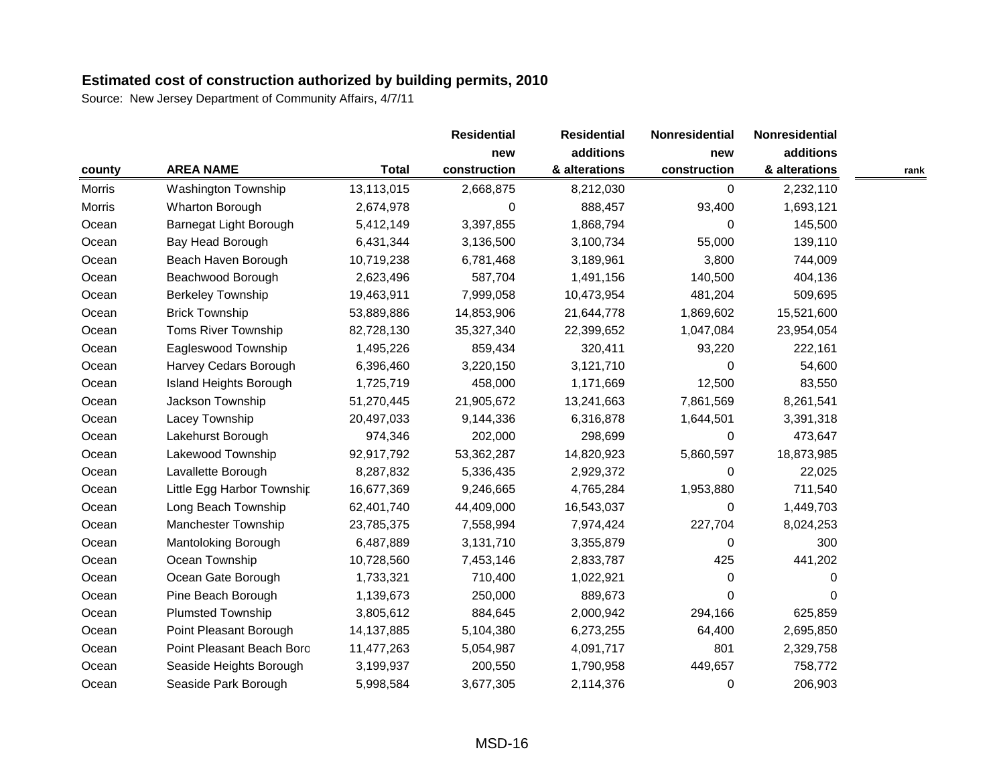|               |                               |              | <b>Residential</b> | <b>Residential</b> | Nonresidential | Nonresidential |      |
|---------------|-------------------------------|--------------|--------------------|--------------------|----------------|----------------|------|
|               |                               |              | new                | additions          | new            | additions      |      |
| county        | <b>AREA NAME</b>              | <b>Total</b> | construction       | & alterations      | construction   | & alterations  | rank |
| <b>Morris</b> | <b>Washington Township</b>    | 13,113,015   | 2,668,875          | 8,212,030          | 0              | 2,232,110      |      |
| <b>Morris</b> | Wharton Borough               | 2,674,978    | 0                  | 888,457            | 93,400         | 1,693,121      |      |
| Ocean         | Barnegat Light Borough        | 5,412,149    | 3,397,855          | 1,868,794          | $\Omega$       | 145,500        |      |
| Ocean         | Bay Head Borough              | 6,431,344    | 3,136,500          | 3,100,734          | 55,000         | 139,110        |      |
| Ocean         | Beach Haven Borough           | 10,719,238   | 6,781,468          | 3,189,961          | 3,800          | 744,009        |      |
| Ocean         | Beachwood Borough             | 2,623,496    | 587,704            | 1,491,156          | 140,500        | 404,136        |      |
| Ocean         | <b>Berkeley Township</b>      | 19,463,911   | 7,999,058          | 10,473,954         | 481,204        | 509,695        |      |
| Ocean         | <b>Brick Township</b>         | 53,889,886   | 14,853,906         | 21,644,778         | 1,869,602      | 15,521,600     |      |
| Ocean         | Toms River Township           | 82,728,130   | 35,327,340         | 22,399,652         | 1,047,084      | 23,954,054     |      |
| Ocean         | Eagleswood Township           | 1,495,226    | 859,434            | 320,411            | 93,220         | 222,161        |      |
| Ocean         | Harvey Cedars Borough         | 6,396,460    | 3,220,150          | 3,121,710          | $\Omega$       | 54,600         |      |
| Ocean         | <b>Island Heights Borough</b> | 1,725,719    | 458,000            | 1,171,669          | 12,500         | 83,550         |      |
| Ocean         | Jackson Township              | 51,270,445   | 21,905,672         | 13,241,663         | 7,861,569      | 8,261,541      |      |
| Ocean         | Lacey Township                | 20,497,033   | 9,144,336          | 6,316,878          | 1,644,501      | 3,391,318      |      |
| Ocean         | Lakehurst Borough             | 974,346      | 202,000            | 298,699            | $\Omega$       | 473,647        |      |
| Ocean         | Lakewood Township             | 92,917,792   | 53,362,287         | 14,820,923         | 5,860,597      | 18,873,985     |      |
| Ocean         | Lavallette Borough            | 8,287,832    | 5,336,435          | 2,929,372          | 0              | 22,025         |      |
| Ocean         | Little Egg Harbor Township    | 16,677,369   | 9,246,665          | 4,765,284          | 1,953,880      | 711,540        |      |
| Ocean         | Long Beach Township           | 62,401,740   | 44,409,000         | 16,543,037         | $\Omega$       | 1,449,703      |      |
| Ocean         | Manchester Township           | 23,785,375   | 7,558,994          | 7,974,424          | 227,704        | 8,024,253      |      |
| Ocean         | Mantoloking Borough           | 6,487,889    | 3,131,710          | 3,355,879          | 0              | 300            |      |
| Ocean         | Ocean Township                | 10,728,560   | 7,453,146          | 2,833,787          | 425            | 441,202        |      |
| Ocean         | Ocean Gate Borough            | 1,733,321    | 710,400            | 1,022,921          | 0              | 0              |      |
| Ocean         | Pine Beach Borough            | 1,139,673    | 250,000            | 889,673            | $\Omega$       | 0              |      |
| Ocean         | <b>Plumsted Township</b>      | 3,805,612    | 884,645            | 2,000,942          | 294,166        | 625,859        |      |
| Ocean         | Point Pleasant Borough        | 14,137,885   | 5,104,380          | 6,273,255          | 64,400         | 2,695,850      |      |
| Ocean         | Point Pleasant Beach Boro     | 11,477,263   | 5,054,987          | 4,091,717          | 801            | 2,329,758      |      |
| Ocean         | Seaside Heights Borough       | 3,199,937    | 200,550            | 1,790,958          | 449,657        | 758,772        |      |
| Ocean         | Seaside Park Borough          | 5,998,584    | 3,677,305          | 2,114,376          | 0              | 206,903        |      |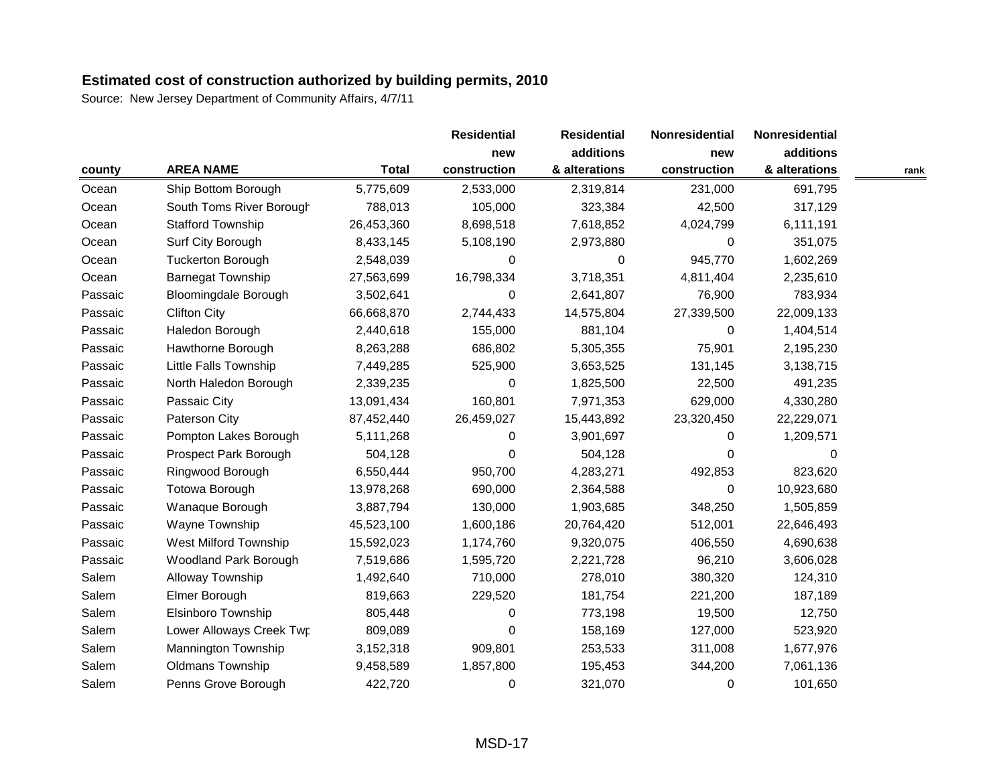|         |                              |              | <b>Residential</b> | <b>Residential</b> | Nonresidential | Nonresidential |      |
|---------|------------------------------|--------------|--------------------|--------------------|----------------|----------------|------|
|         |                              |              | new                | additions          | new            | additions      |      |
| county  | <b>AREA NAME</b>             | <b>Total</b> | construction       | & alterations      | construction   | & alterations  | rank |
| Ocean   | Ship Bottom Borough          | 5,775,609    | 2,533,000          | 2,319,814          | 231,000        | 691,795        |      |
| Ocean   | South Toms River Borough     | 788,013      | 105,000            | 323,384            | 42,500         | 317,129        |      |
| Ocean   | <b>Stafford Township</b>     | 26,453,360   | 8,698,518          | 7,618,852          | 4,024,799      | 6,111,191      |      |
| Ocean   | Surf City Borough            | 8,433,145    | 5,108,190          | 2,973,880          | $\Omega$       | 351,075        |      |
| Ocean   | <b>Tuckerton Borough</b>     | 2,548,039    | 0                  | 0                  | 945,770        | 1,602,269      |      |
| Ocean   | <b>Barnegat Township</b>     | 27,563,699   | 16,798,334         | 3,718,351          | 4,811,404      | 2,235,610      |      |
| Passaic | <b>Bloomingdale Borough</b>  | 3,502,641    | 0                  | 2,641,807          | 76,900         | 783,934        |      |
| Passaic | <b>Clifton City</b>          | 66,668,870   | 2,744,433          | 14,575,804         | 27,339,500     | 22,009,133     |      |
| Passaic | Haledon Borough              | 2,440,618    | 155,000            | 881,104            | $\Omega$       | 1,404,514      |      |
| Passaic | Hawthorne Borough            | 8,263,288    | 686,802            | 5,305,355          | 75,901         | 2,195,230      |      |
| Passaic | Little Falls Township        | 7,449,285    | 525,900            | 3,653,525          | 131,145        | 3,138,715      |      |
| Passaic | North Haledon Borough        | 2,339,235    | 0                  | 1,825,500          | 22,500         | 491,235        |      |
| Passaic | Passaic City                 | 13,091,434   | 160,801            | 7,971,353          | 629,000        | 4,330,280      |      |
| Passaic | Paterson City                | 87,452,440   | 26,459,027         | 15,443,892         | 23,320,450     | 22,229,071     |      |
| Passaic | Pompton Lakes Borough        | 5,111,268    | 0                  | 3,901,697          | 0              | 1,209,571      |      |
| Passaic | Prospect Park Borough        | 504,128      | 0                  | 504,128            | $\Omega$       | 0              |      |
| Passaic | Ringwood Borough             | 6,550,444    | 950,700            | 4,283,271          | 492,853        | 823,620        |      |
| Passaic | Totowa Borough               | 13,978,268   | 690,000            | 2,364,588          | 0              | 10,923,680     |      |
| Passaic | Wanaque Borough              | 3,887,794    | 130,000            | 1,903,685          | 348,250        | 1,505,859      |      |
| Passaic | Wayne Township               | 45,523,100   | 1,600,186          | 20,764,420         | 512,001        | 22,646,493     |      |
| Passaic | West Milford Township        | 15,592,023   | 1,174,760          | 9,320,075          | 406,550        | 4,690,638      |      |
| Passaic | <b>Woodland Park Borough</b> | 7,519,686    | 1,595,720          | 2,221,728          | 96,210         | 3,606,028      |      |
| Salem   | Alloway Township             | 1,492,640    | 710,000            | 278,010            | 380,320        | 124,310        |      |
| Salem   | Elmer Borough                | 819,663      | 229,520            | 181,754            | 221,200        | 187,189        |      |
| Salem   | Elsinboro Township           | 805,448      | 0                  | 773,198            | 19,500         | 12,750         |      |
| Salem   | Lower Alloways Creek Twp     | 809,089      | 0                  | 158,169            | 127,000        | 523,920        |      |
| Salem   | Mannington Township          | 3,152,318    | 909,801            | 253,533            | 311,008        | 1,677,976      |      |
| Salem   | <b>Oldmans Township</b>      | 9,458,589    | 1,857,800          | 195,453            | 344,200        | 7,061,136      |      |
| Salem   | Penns Grove Borough          | 422,720      | 0                  | 321,070            | $\Omega$       | 101,650        |      |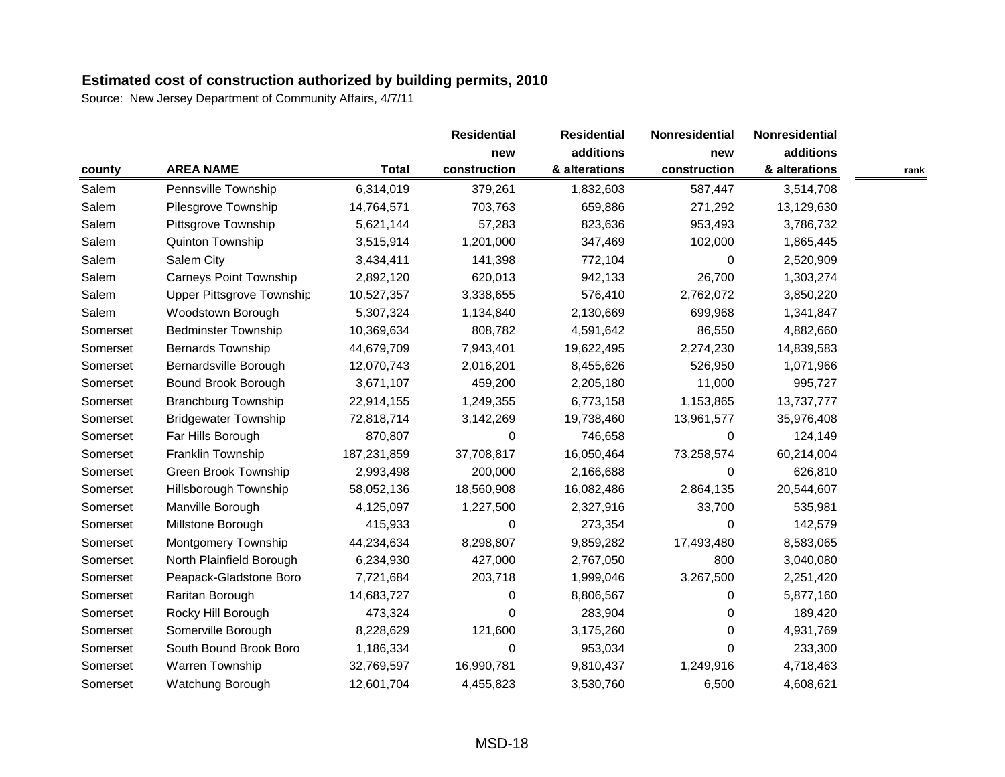|          |                               |              | <b>Residential</b> | <b>Residential</b> | Nonresidential | Nonresidential |      |
|----------|-------------------------------|--------------|--------------------|--------------------|----------------|----------------|------|
|          |                               |              | new                | additions          | new            | additions      |      |
| county   | <b>AREA NAME</b>              | <b>Total</b> | construction       | & alterations      | construction   | & alterations  | rank |
| Salem    | Pennsville Township           | 6,314,019    | 379,261            | 1,832,603          | 587,447        | 3,514,708      |      |
| Salem    | Pilesgrove Township           | 14,764,571   | 703,763            | 659,886            | 271,292        | 13,129,630     |      |
| Salem    | Pittsgrove Township           | 5,621,144    | 57,283             | 823,636            | 953,493        | 3,786,732      |      |
| Salem    | Quinton Township              | 3,515,914    | 1,201,000          | 347,469            | 102,000        | 1,865,445      |      |
| Salem    | Salem City                    | 3,434,411    | 141,398            | 772,104            | 0              | 2,520,909      |      |
| Salem    | <b>Carneys Point Township</b> | 2,892,120    | 620,013            | 942,133            | 26,700         | 1,303,274      |      |
| Salem    | Upper Pittsgrove Township     | 10,527,357   | 3,338,655          | 576,410            | 2,762,072      | 3,850,220      |      |
| Salem    | Woodstown Borough             | 5,307,324    | 1,134,840          | 2,130,669          | 699,968        | 1,341,847      |      |
| Somerset | <b>Bedminster Township</b>    | 10,369,634   | 808,782            | 4,591,642          | 86,550         | 4,882,660      |      |
| Somerset | <b>Bernards Township</b>      | 44,679,709   | 7,943,401          | 19,622,495         | 2,274,230      | 14,839,583     |      |
| Somerset | Bernardsville Borough         | 12,070,743   | 2,016,201          | 8,455,626          | 526,950        | 1,071,966      |      |
| Somerset | Bound Brook Borough           | 3,671,107    | 459,200            | 2,205,180          | 11,000         | 995,727        |      |
| Somerset | <b>Branchburg Township</b>    | 22,914,155   | 1,249,355          | 6,773,158          | 1,153,865      | 13,737,777     |      |
| Somerset | <b>Bridgewater Township</b>   | 72,818,714   | 3,142,269          | 19,738,460         | 13,961,577     | 35,976,408     |      |
| Somerset | Far Hills Borough             | 870,807      | 0                  | 746,658            | 0              | 124,149        |      |
| Somerset | Franklin Township             | 187,231,859  | 37,708,817         | 16,050,464         | 73,258,574     | 60,214,004     |      |
| Somerset | Green Brook Township          | 2,993,498    | 200,000            | 2,166,688          | 0              | 626,810        |      |
| Somerset | Hillsborough Township         | 58,052,136   | 18,560,908         | 16,082,486         | 2,864,135      | 20,544,607     |      |
| Somerset | Manville Borough              | 4,125,097    | 1,227,500          | 2,327,916          | 33,700         | 535,981        |      |
| Somerset | Millstone Borough             | 415,933      | 0                  | 273,354            | $\Omega$       | 142,579        |      |
| Somerset | Montgomery Township           | 44,234,634   | 8,298,807          | 9,859,282          | 17,493,480     | 8,583,065      |      |
| Somerset | North Plainfield Borough      | 6,234,930    | 427,000            | 2,767,050          | 800            | 3,040,080      |      |
| Somerset | Peapack-Gladstone Boro        | 7,721,684    | 203,718            | 1,999,046          | 3,267,500      | 2,251,420      |      |
| Somerset | Raritan Borough               | 14,683,727   | 0                  | 8,806,567          | 0              | 5,877,160      |      |
| Somerset | Rocky Hill Borough            | 473,324      | 0                  | 283,904            | 0              | 189,420        |      |
| Somerset | Somerville Borough            | 8,228,629    | 121,600            | 3,175,260          | 0              | 4,931,769      |      |
| Somerset | South Bound Brook Boro        | 1,186,334    | 0                  | 953,034            | $\Omega$       | 233,300        |      |
| Somerset | Warren Township               | 32,769,597   | 16,990,781         | 9,810,437          | 1,249,916      | 4,718,463      |      |
| Somerset | Watchung Borough              | 12,601,704   | 4,455,823          | 3,530,760          | 6,500          | 4,608,621      |      |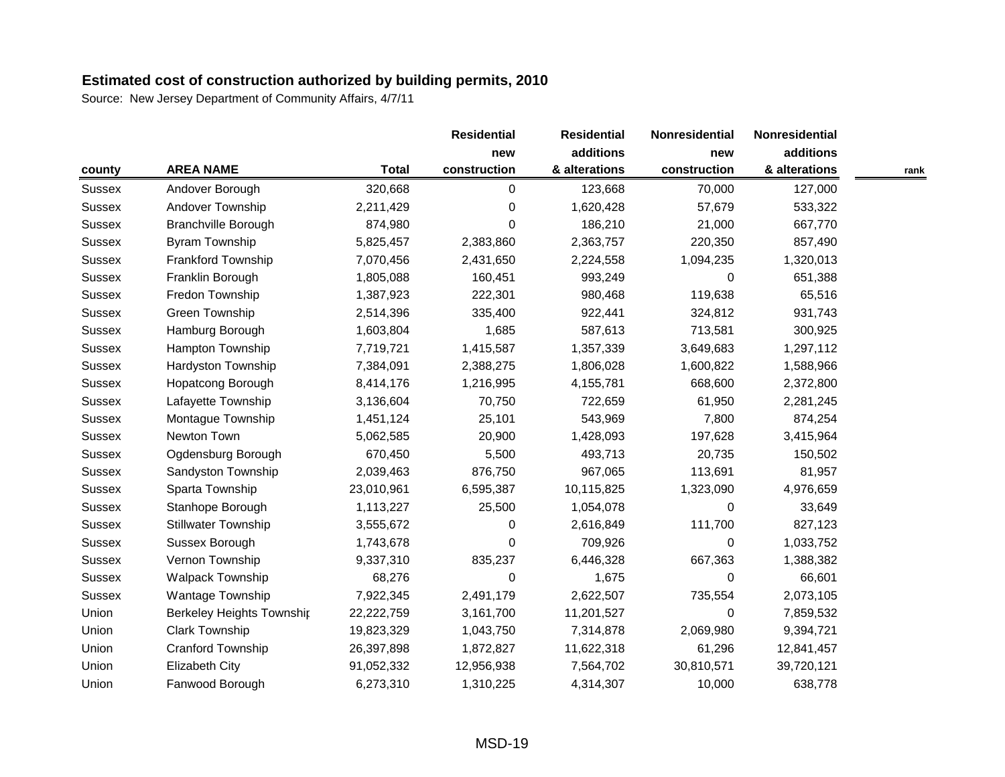|               |                            |              | <b>Residential</b> | <b>Residential</b> | Nonresidential | Nonresidential |      |
|---------------|----------------------------|--------------|--------------------|--------------------|----------------|----------------|------|
|               |                            |              | new                | additions          | new            | additions      |      |
| county        | <b>AREA NAME</b>           | <b>Total</b> | construction       | & alterations      | construction   | & alterations  | rank |
| Sussex        | Andover Borough            | 320,668      | 0                  | 123,668            | 70,000         | 127,000        |      |
| <b>Sussex</b> | Andover Township           | 2,211,429    | 0                  | 1,620,428          | 57,679         | 533,322        |      |
| <b>Sussex</b> | <b>Branchville Borough</b> | 874,980      | 0                  | 186,210            | 21,000         | 667,770        |      |
| Sussex        | Byram Township             | 5,825,457    | 2,383,860          | 2,363,757          | 220,350        | 857,490        |      |
| <b>Sussex</b> | <b>Frankford Township</b>  | 7,070,456    | 2,431,650          | 2,224,558          | 1,094,235      | 1,320,013      |      |
| <b>Sussex</b> | Franklin Borough           | 1,805,088    | 160,451            | 993,249            | 0              | 651,388        |      |
| <b>Sussex</b> | Fredon Township            | 1,387,923    | 222,301            | 980,468            | 119,638        | 65,516         |      |
| <b>Sussex</b> | Green Township             | 2,514,396    | 335,400            | 922,441            | 324,812        | 931,743        |      |
| <b>Sussex</b> | Hamburg Borough            | 1,603,804    | 1,685              | 587,613            | 713,581        | 300,925        |      |
| <b>Sussex</b> | <b>Hampton Township</b>    | 7,719,721    | 1,415,587          | 1,357,339          | 3,649,683      | 1,297,112      |      |
| <b>Sussex</b> | Hardyston Township         | 7,384,091    | 2,388,275          | 1,806,028          | 1,600,822      | 1,588,966      |      |
| <b>Sussex</b> | Hopatcong Borough          | 8,414,176    | 1,216,995          | 4,155,781          | 668,600        | 2,372,800      |      |
| <b>Sussex</b> | Lafayette Township         | 3,136,604    | 70,750             | 722,659            | 61,950         | 2,281,245      |      |
| <b>Sussex</b> | Montague Township          | 1,451,124    | 25,101             | 543,969            | 7,800          | 874,254        |      |
| Sussex        | Newton Town                | 5,062,585    | 20,900             | 1,428,093          | 197,628        | 3,415,964      |      |
| <b>Sussex</b> | Ogdensburg Borough         | 670,450      | 5,500              | 493,713            | 20,735         | 150,502        |      |
| <b>Sussex</b> | Sandyston Township         | 2,039,463    | 876,750            | 967,065            | 113,691        | 81,957         |      |
| <b>Sussex</b> | Sparta Township            | 23,010,961   | 6,595,387          | 10,115,825         | 1,323,090      | 4,976,659      |      |
| <b>Sussex</b> | Stanhope Borough           | 1,113,227    | 25,500             | 1,054,078          | $\Omega$       | 33,649         |      |
| <b>Sussex</b> | <b>Stillwater Township</b> | 3,555,672    | 0                  | 2,616,849          | 111,700        | 827,123        |      |
| <b>Sussex</b> | Sussex Borough             | 1,743,678    | 0                  | 709,926            | 0              | 1,033,752      |      |
| <b>Sussex</b> | Vernon Township            | 9,337,310    | 835,237            | 6,446,328          | 667,363        | 1,388,382      |      |
| <b>Sussex</b> | <b>Walpack Township</b>    | 68,276       | 0                  | 1,675              | $\mathbf 0$    | 66,601         |      |
| <b>Sussex</b> | <b>Wantage Township</b>    | 7,922,345    | 2,491,179          | 2,622,507          | 735,554        | 2,073,105      |      |
| Union         | Berkeley Heights Townshir  | 22,222,759   | 3,161,700          | 11,201,527         | $\Omega$       | 7,859,532      |      |
| Union         | <b>Clark Township</b>      | 19,823,329   | 1,043,750          | 7,314,878          | 2,069,980      | 9,394,721      |      |
| Union         | Cranford Township          | 26,397,898   | 1,872,827          | 11,622,318         | 61,296         | 12,841,457     |      |
| Union         | Elizabeth City             | 91,052,332   | 12,956,938         | 7,564,702          | 30,810,571     | 39,720,121     |      |
| Union         | Fanwood Borough            | 6,273,310    | 1,310,225          | 4,314,307          | 10,000         | 638,778        |      |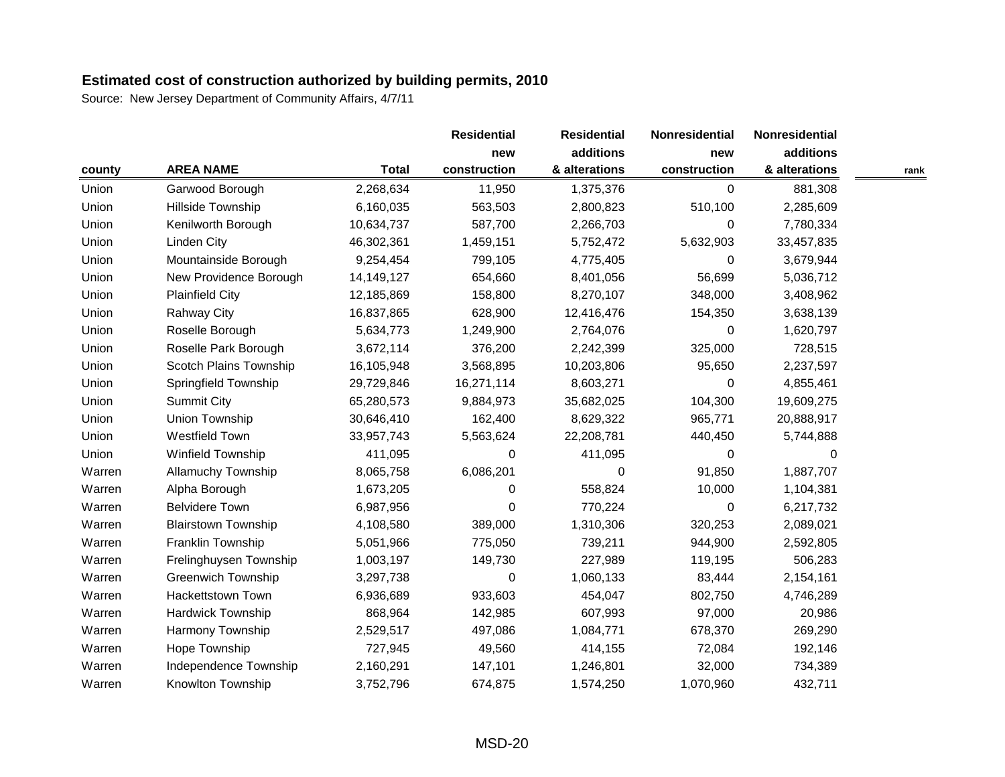|        |                            |              | <b>Residential</b> | <b>Residential</b> | Nonresidential | Nonresidential |      |
|--------|----------------------------|--------------|--------------------|--------------------|----------------|----------------|------|
|        |                            |              | new                | additions          | new            | additions      |      |
| county | <b>AREA NAME</b>           | <b>Total</b> | construction       | & alterations      | construction   | & alterations  | rank |
| Union  | Garwood Borough            | 2,268,634    | 11,950             | 1,375,376          | 0              | 881,308        |      |
| Union  | Hillside Township          | 6,160,035    | 563,503            | 2,800,823          | 510,100        | 2,285,609      |      |
| Union  | Kenilworth Borough         | 10,634,737   | 587,700            | 2,266,703          | $\Omega$       | 7,780,334      |      |
| Union  | <b>Linden City</b>         | 46,302,361   | 1,459,151          | 5,752,472          | 5,632,903      | 33,457,835     |      |
| Union  | Mountainside Borough       | 9,254,454    | 799,105            | 4,775,405          | 0              | 3,679,944      |      |
| Union  | New Providence Borough     | 14,149,127   | 654,660            | 8,401,056          | 56,699         | 5,036,712      |      |
| Union  | <b>Plainfield City</b>     | 12,185,869   | 158,800            | 8,270,107          | 348,000        | 3,408,962      |      |
| Union  | <b>Rahway City</b>         | 16,837,865   | 628,900            | 12,416,476         | 154,350        | 3,638,139      |      |
| Union  | Roselle Borough            | 5,634,773    | 1,249,900          | 2,764,076          | 0              | 1,620,797      |      |
| Union  | Roselle Park Borough       | 3,672,114    | 376,200            | 2,242,399          | 325,000        | 728,515        |      |
| Union  | Scotch Plains Township     | 16,105,948   | 3,568,895          | 10,203,806         | 95,650         | 2,237,597      |      |
| Union  | Springfield Township       | 29,729,846   | 16,271,114         | 8,603,271          | 0              | 4,855,461      |      |
| Union  | <b>Summit City</b>         | 65,280,573   | 9,884,973          | 35,682,025         | 104,300        | 19,609,275     |      |
| Union  | Union Township             | 30,646,410   | 162,400            | 8,629,322          | 965,771        | 20,888,917     |      |
| Union  | Westfield Town             | 33,957,743   | 5,563,624          | 22,208,781         | 440,450        | 5,744,888      |      |
| Union  | Winfield Township          | 411,095      | 0                  | 411,095            | 0              | 0              |      |
| Warren | <b>Allamuchy Township</b>  | 8,065,758    | 6,086,201          | 0                  | 91,850         | 1,887,707      |      |
| Warren | Alpha Borough              | 1,673,205    | 0                  | 558,824            | 10,000         | 1,104,381      |      |
| Warren | <b>Belvidere Town</b>      | 6,987,956    | 0                  | 770,224            | $\Omega$       | 6,217,732      |      |
| Warren | <b>Blairstown Township</b> | 4,108,580    | 389,000            | 1,310,306          | 320,253        | 2,089,021      |      |
| Warren | Franklin Township          | 5,051,966    | 775,050            | 739,211            | 944,900        | 2,592,805      |      |
| Warren | Frelinghuysen Township     | 1,003,197    | 149,730            | 227,989            | 119,195        | 506,283        |      |
| Warren | <b>Greenwich Township</b>  | 3,297,738    | 0                  | 1,060,133          | 83,444         | 2,154,161      |      |
| Warren | Hackettstown Town          | 6,936,689    | 933,603            | 454,047            | 802,750        | 4,746,289      |      |
| Warren | <b>Hardwick Township</b>   | 868,964      | 142,985            | 607,993            | 97,000         | 20,986         |      |
| Warren | Harmony Township           | 2,529,517    | 497,086            | 1,084,771          | 678,370        | 269,290        |      |
| Warren | Hope Township              | 727,945      | 49,560             | 414,155            | 72,084         | 192,146        |      |
| Warren | Independence Township      | 2,160,291    | 147,101            | 1,246,801          | 32,000         | 734,389        |      |
| Warren | Knowlton Township          | 3,752,796    | 674,875            | 1,574,250          | 1,070,960      | 432,711        |      |